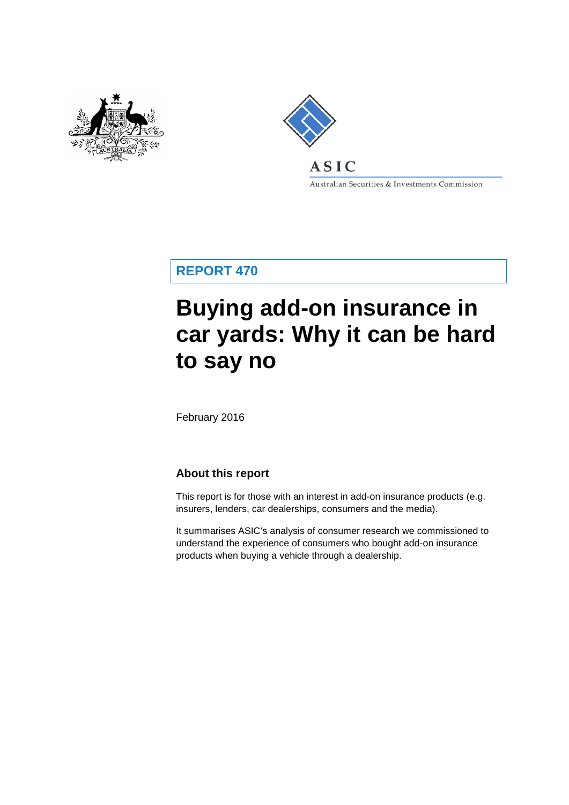



Australian Securities & Investments Commission

**REPORT 470**

# **Buying add-on insurance in car yards: Why it can be hard to say no**

February 2016

# **About this report**

This report is for those with an interest in add-on insurance products (e.g. insurers, lenders, car dealerships, consumers and the media).

It summarises ASIC's analysis of consumer research we commissioned to understand the experience of consumers who bought add-on insurance products when buying a vehicle through a dealership.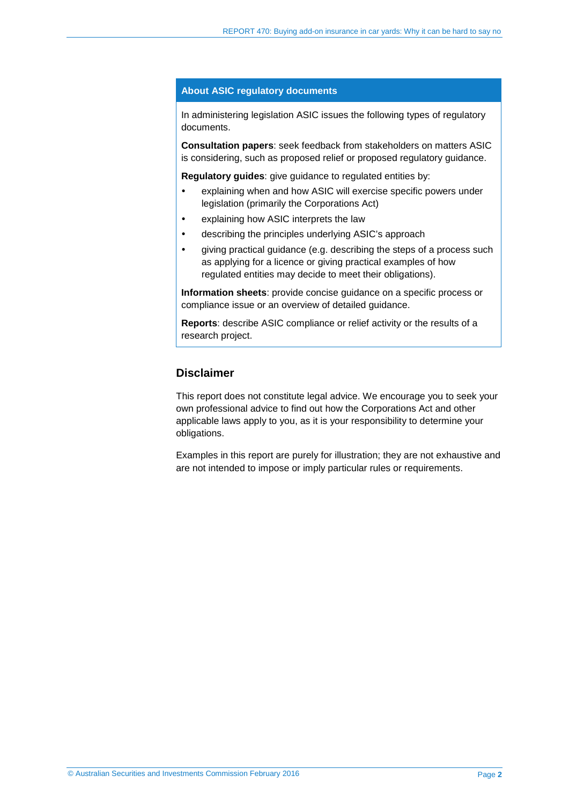#### **About ASIC regulatory documents**

In administering legislation ASIC issues the following types of regulatory documents.

**Consultation papers**: seek feedback from stakeholders on matters ASIC is considering, such as proposed relief or proposed regulatory guidance.

**Regulatory guides**: give guidance to regulated entities by:

- explaining when and how ASIC will exercise specific powers under legislation (primarily the Corporations Act)
- explaining how ASIC interprets the law
- describing the principles underlying ASIC's approach
- giving practical guidance (e.g. describing the steps of a process such as applying for a licence or giving practical examples of how regulated entities may decide to meet their obligations).

**Information sheets**: provide concise guidance on a specific process or compliance issue or an overview of detailed guidance.

**Reports**: describe ASIC compliance or relief activity or the results of a research project.

# **Disclaimer**

This report does not constitute legal advice. We encourage you to seek your own professional advice to find out how the Corporations Act and other applicable laws apply to you, as it is your responsibility to determine your obligations.

Examples in this report are purely for illustration; they are not exhaustive and are not intended to impose or imply particular rules or requirements.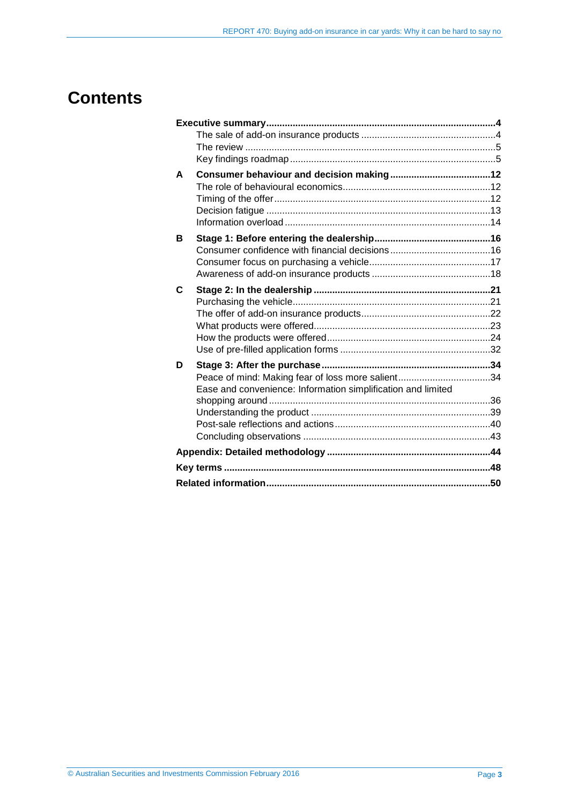# **Contents**

| A |                                                              |  |
|---|--------------------------------------------------------------|--|
|   |                                                              |  |
|   |                                                              |  |
|   |                                                              |  |
|   |                                                              |  |
| в |                                                              |  |
|   |                                                              |  |
|   |                                                              |  |
|   |                                                              |  |
| C |                                                              |  |
|   |                                                              |  |
|   |                                                              |  |
|   |                                                              |  |
|   |                                                              |  |
|   |                                                              |  |
| D |                                                              |  |
|   |                                                              |  |
|   | Ease and convenience: Information simplification and limited |  |
|   |                                                              |  |
|   |                                                              |  |
|   |                                                              |  |
|   |                                                              |  |
|   |                                                              |  |
|   |                                                              |  |
|   |                                                              |  |
|   |                                                              |  |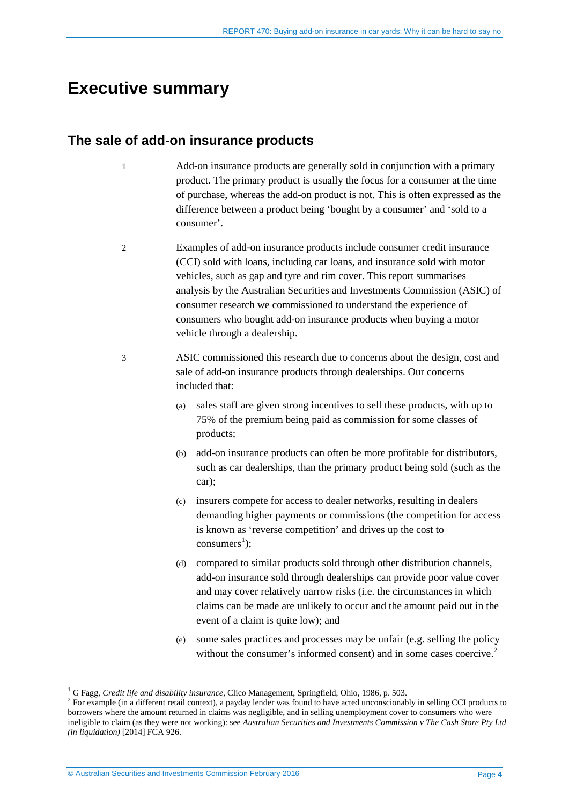# <span id="page-3-0"></span>**Executive summary**

# <span id="page-3-1"></span>**The sale of add-on insurance products**

- Add-on insurance products are generally sold in conjunction with a primary product. The primary product is usually the focus for a consumer at the time of purchase, whereas the add-on product is not. This is often expressed as the difference between a product being 'bought by a consumer' and 'sold to a consumer'.
- 2 Examples of add-on insurance products include consumer credit insurance (CCI) sold with loans, including car loans, and insurance sold with motor vehicles, such as gap and tyre and rim cover. This report summarises analysis by the Australian Securities and Investments Commission (ASIC) of consumer research we commissioned to understand the experience of consumers who bought add-on insurance products when buying a motor vehicle through a dealership.
- 3 ASIC commissioned this research due to concerns about the design, cost and sale of add-on insurance products through dealerships. Our concerns included that:
	- (a) sales staff are given strong incentives to sell these products, with up to 75% of the premium being paid as commission for some classes of products;
	- (b) add-on insurance products can often be more profitable for distributors, such as car dealerships, than the primary product being sold (such as the car);
	- (c) insurers compete for access to dealer networks, resulting in dealers demanding higher payments or commissions (the competition for access is known as 'reverse competition' and drives up the cost to  $consumes<sup>1</sup>$  $consumes<sup>1</sup>$  $consumes<sup>1</sup>$ ;
	- (d) compared to similar products sold through other distribution channels, add-on insurance sold through dealerships can provide poor value cover and may cover relatively narrow risks (i.e. the circumstances in which claims can be made are unlikely to occur and the amount paid out in the event of a claim is quite low); and
	- (e) some sales practices and processes may be unfair (e.g. selling the policy without the consumer's informed consent) and in some cases coercive.<sup>[2](#page-3-3)</sup>

<sup>1</sup> G Fagg, *Credit life and disability insurance*, Clico Management, Springfield, Ohio, 1986, p. 503. <sup>2</sup>

<span id="page-3-3"></span><span id="page-3-2"></span><sup>&</sup>lt;sup>2</sup> For example (in a different retail context), a payday lender was found to have acted unconscionably in selling CCI products to borrowers where the amount returned in claims was negligible, and in selling unemployment cover to consumers who were ineligible to claim (as they were not working): see *Australian Securities and Investments Commission v The Cash Store Pty Ltd (in liquidation)* [2014] FCA 926.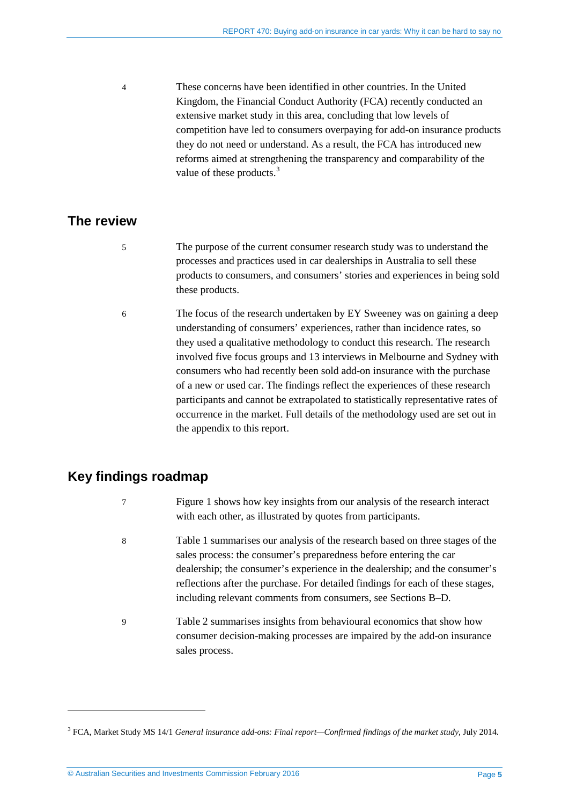4 These concerns have been identified in other countries. In the United Kingdom, the Financial Conduct Authority (FCA) recently conducted an extensive market study in this area, concluding that low levels of competition have led to consumers overpaying for add-on insurance products they do not need or understand. As a result, the FCA has introduced new reforms aimed at strengthening the transparency and comparability of the value of these products.<sup>[3](#page-4-2)</sup>

# <span id="page-4-0"></span>**The review**

- 5 The purpose of the current consumer research study was to understand the processes and practices used in car dealerships in Australia to sell these products to consumers, and consumers' stories and experiences in being sold these products.
- 6 The focus of the research undertaken by EY Sweeney was on gaining a deep understanding of consumers' experiences, rather than incidence rates, so they used a qualitative methodology to conduct this research. The research involved five focus groups and 13 interviews in Melbourne and Sydney with consumers who had recently been sold add-on insurance with the purchase of a new or used car. The findings reflect the experiences of these research participants and cannot be extrapolated to statistically representative rates of occurrence in the market. Full details of the methodology used are set out in the appendix to this report.

# <span id="page-4-1"></span>**Key findings roadmap**

<u>.</u>

- 7 [Figure 1](#page-6-0) shows how key insights from our analysis of the research interact with each other, as illustrated by quotes from participants.
- 8 [Table 1](#page-8-0) summarises our analysis of the research based on three stages of the sales process: the consumer's preparedness before entering the car dealership; the consumer's experience in the dealership; and the consumer's reflections after the purchase. For detailed findings for each of these stages, including relevant comments from consumers, see Sections [B](#page-15-0)[–D.](#page-33-0)
- 9 [Table 2](#page-9-0) summarises insights from behavioural economics that show how consumer decision-making processes are impaired by the add-on insurance sales process.

<span id="page-4-2"></span><sup>3</sup> FCA, Market Study MS 14/1 *General insurance add-ons: Final report—Confirmed findings of the market study*, July 2014.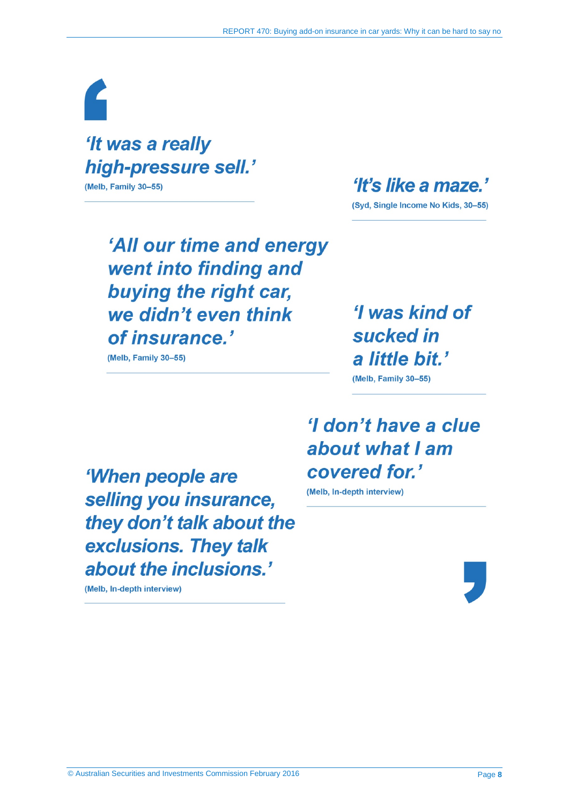# 'It was a really high-pressure sell.' (Melb, Family 30-55)

'It's like a maze.'

(Syd, Single Income No Kids, 30-55)

'All our time and energy went into finding and buying the right car, we didn't even think of insurance.'

(Melb, Family 30-55)

'I was kind of sucked in a little bit.'

(Melb, Family 30-55)

# 'I don't have a clue about what I am covered for.'

(Melb, In-depth interview)

'When people are selling you insurance, they don't talk about the exclusions. They talk about the inclusions.'

(Melb, In-depth interview)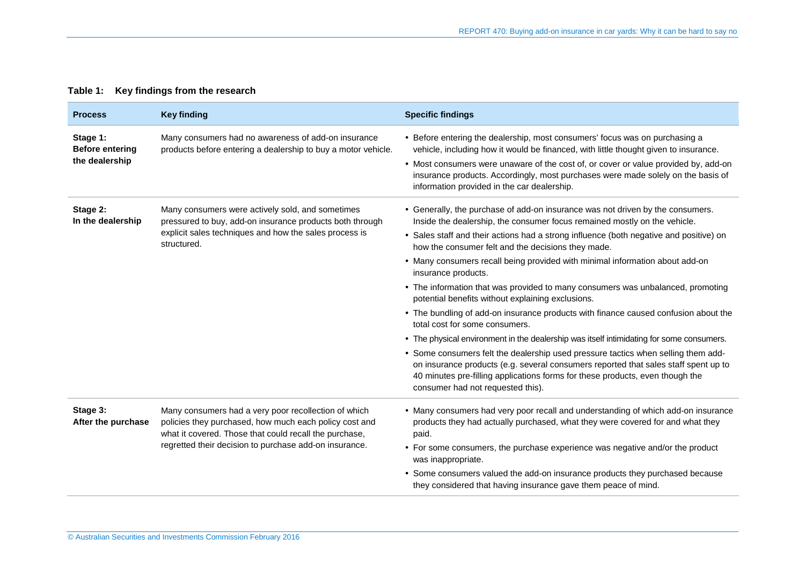|  | Table 1: Key findings from the research |  |
|--|-----------------------------------------|--|
|--|-----------------------------------------|--|

<span id="page-8-0"></span>

| <b>Process</b>                                       | <b>Key finding</b>                                                                                                                                                                                                                 | <b>Specific findings</b>                                                                                                                                                                                                                                                                                                                                                                      |
|------------------------------------------------------|------------------------------------------------------------------------------------------------------------------------------------------------------------------------------------------------------------------------------------|-----------------------------------------------------------------------------------------------------------------------------------------------------------------------------------------------------------------------------------------------------------------------------------------------------------------------------------------------------------------------------------------------|
| Stage 1:<br><b>Before entering</b><br>the dealership | Many consumers had no awareness of add-on insurance<br>products before entering a dealership to buy a motor vehicle.                                                                                                               | • Before entering the dealership, most consumers' focus was on purchasing a<br>vehicle, including how it would be financed, with little thought given to insurance.<br>• Most consumers were unaware of the cost of, or cover or value provided by, add-on<br>insurance products. Accordingly, most purchases were made solely on the basis of<br>information provided in the car dealership. |
| Stage 2:<br>In the dealership                        | Many consumers were actively sold, and sometimes<br>pressured to buy, add-on insurance products both through<br>explicit sales techniques and how the sales process is<br>structured.                                              | • Generally, the purchase of add-on insurance was not driven by the consumers.<br>Inside the dealership, the consumer focus remained mostly on the vehicle.                                                                                                                                                                                                                                   |
|                                                      |                                                                                                                                                                                                                                    | • Sales staff and their actions had a strong influence (both negative and positive) on<br>how the consumer felt and the decisions they made.                                                                                                                                                                                                                                                  |
|                                                      |                                                                                                                                                                                                                                    | • Many consumers recall being provided with minimal information about add-on<br>insurance products.                                                                                                                                                                                                                                                                                           |
|                                                      |                                                                                                                                                                                                                                    | • The information that was provided to many consumers was unbalanced, promoting<br>potential benefits without explaining exclusions.                                                                                                                                                                                                                                                          |
|                                                      |                                                                                                                                                                                                                                    | • The bundling of add-on insurance products with finance caused confusion about the<br>total cost for some consumers.                                                                                                                                                                                                                                                                         |
|                                                      |                                                                                                                                                                                                                                    | • The physical environment in the dealership was itself intimidating for some consumers.                                                                                                                                                                                                                                                                                                      |
|                                                      |                                                                                                                                                                                                                                    | • Some consumers felt the dealership used pressure tactics when selling them add-<br>on insurance products (e.g. several consumers reported that sales staff spent up to<br>40 minutes pre-filling applications forms for these products, even though the<br>consumer had not requested this).                                                                                                |
| Stage 3:<br>After the purchase                       | Many consumers had a very poor recollection of which<br>policies they purchased, how much each policy cost and<br>what it covered. Those that could recall the purchase,<br>regretted their decision to purchase add-on insurance. | • Many consumers had very poor recall and understanding of which add-on insurance<br>products they had actually purchased, what they were covered for and what they<br>paid.                                                                                                                                                                                                                  |
|                                                      |                                                                                                                                                                                                                                    | • For some consumers, the purchase experience was negative and/or the product<br>was inappropriate.                                                                                                                                                                                                                                                                                           |
|                                                      |                                                                                                                                                                                                                                    | • Some consumers valued the add-on insurance products they purchased because<br>they considered that having insurance gave them peace of mind.                                                                                                                                                                                                                                                |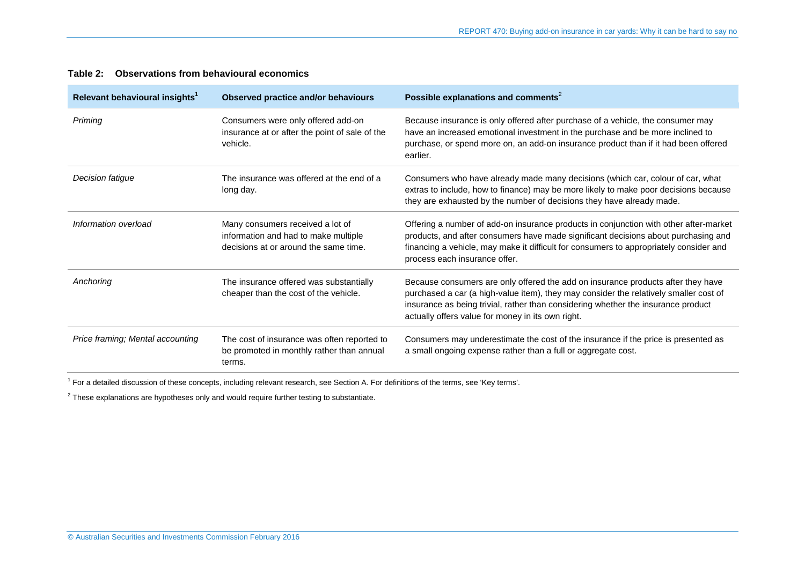| Relevant behavioural insights <sup>1</sup> | Observed practice and/or behaviours                                                                               | Possible explanations and comments <sup>2</sup>                                                                                                                                                                                                                                                                     |
|--------------------------------------------|-------------------------------------------------------------------------------------------------------------------|---------------------------------------------------------------------------------------------------------------------------------------------------------------------------------------------------------------------------------------------------------------------------------------------------------------------|
| Priming                                    | Consumers were only offered add-on<br>insurance at or after the point of sale of the<br>vehicle.                  | Because insurance is only offered after purchase of a vehicle, the consumer may<br>have an increased emotional investment in the purchase and be more inclined to<br>purchase, or spend more on, an add-on insurance product than if it had been offered<br>earlier.                                                |
| Decision fatigue                           | The insurance was offered at the end of a<br>long day.                                                            | Consumers who have already made many decisions (which car, colour of car, what<br>extras to include, how to finance) may be more likely to make poor decisions because<br>they are exhausted by the number of decisions they have already made.                                                                     |
| Information overload                       | Many consumers received a lot of<br>information and had to make multiple<br>decisions at or around the same time. | Offering a number of add-on insurance products in conjunction with other after-market<br>products, and after consumers have made significant decisions about purchasing and<br>financing a vehicle, may make it difficult for consumers to appropriately consider and<br>process each insurance offer.              |
| Anchoring                                  | The insurance offered was substantially<br>cheaper than the cost of the vehicle.                                  | Because consumers are only offered the add on insurance products after they have<br>purchased a car (a high-value item), they may consider the relatively smaller cost of<br>insurance as being trivial, rather than considering whether the insurance product<br>actually offers value for money in its own right. |
| Price framing; Mental accounting           | The cost of insurance was often reported to<br>be promoted in monthly rather than annual<br>terms.                | Consumers may underestimate the cost of the insurance if the price is presented as<br>a small ongoing expense rather than a full or aggregate cost.                                                                                                                                                                 |

### **Table 2: Observations from behavioural economics**

<span id="page-9-0"></span><sup>1</sup> For a detailed discussion of these concepts, including relevant research, see Section [A.](#page-11-3) For definitions of the terms, see 'Key terms'.

 $2$  These explanations are hypotheses only and would require further testing to substantiate.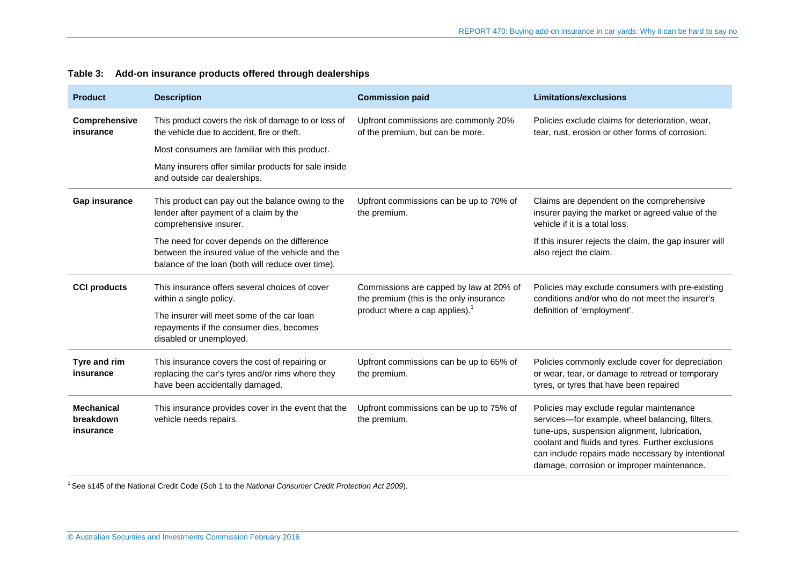| <b>Product</b>                              | <b>Description</b>                                                                                                                                    | <b>Commission paid</b>                                                                                                           | <b>Limitations/exclusions</b>                                                                                                                                                                                                                                                                      |
|---------------------------------------------|-------------------------------------------------------------------------------------------------------------------------------------------------------|----------------------------------------------------------------------------------------------------------------------------------|----------------------------------------------------------------------------------------------------------------------------------------------------------------------------------------------------------------------------------------------------------------------------------------------------|
| Comprehensive<br>insurance                  | This product covers the risk of damage to or loss of<br>the vehicle due to accident, fire or theft.                                                   | Upfront commissions are commonly 20%<br>of the premium, but can be more.                                                         | Policies exclude claims for deterioration, wear,<br>tear, rust, erosion or other forms of corrosion.                                                                                                                                                                                               |
|                                             | Most consumers are familiar with this product.                                                                                                        |                                                                                                                                  |                                                                                                                                                                                                                                                                                                    |
|                                             | Many insurers offer similar products for sale inside<br>and outside car dealerships.                                                                  |                                                                                                                                  |                                                                                                                                                                                                                                                                                                    |
| <b>Gap insurance</b>                        | This product can pay out the balance owing to the<br>lender after payment of a claim by the<br>comprehensive insurer.                                 | Upfront commissions can be up to 70% of<br>the premium.                                                                          | Claims are dependent on the comprehensive<br>insurer paying the market or agreed value of the<br>vehicle if it is a total loss.                                                                                                                                                                    |
|                                             | The need for cover depends on the difference<br>between the insured value of the vehicle and the<br>balance of the loan (both will reduce over time). |                                                                                                                                  | If this insurer rejects the claim, the gap insurer will<br>also reject the claim.                                                                                                                                                                                                                  |
| <b>CCI products</b>                         | This insurance offers several choices of cover<br>within a single policy.                                                                             | Commissions are capped by law at 20% of<br>the premium (this is the only insurance<br>product where a cap applies). <sup>1</sup> | Policies may exclude consumers with pre-existing<br>conditions and/or who do not meet the insurer's<br>definition of 'employment'.                                                                                                                                                                 |
|                                             | The insurer will meet some of the car loan<br>repayments if the consumer dies, becomes<br>disabled or unemployed.                                     |                                                                                                                                  |                                                                                                                                                                                                                                                                                                    |
| Tyre and rim<br>insurance                   | This insurance covers the cost of repairing or<br>replacing the car's tyres and/or rims where they<br>have been accidentally damaged.                 | Upfront commissions can be up to 65% of<br>the premium.                                                                          | Policies commonly exclude cover for depreciation<br>or wear, tear, or damage to retread or temporary<br>tyres, or tyres that have been repaired                                                                                                                                                    |
| <b>Mechanical</b><br>breakdown<br>insurance | This insurance provides cover in the event that the<br>vehicle needs repairs.                                                                         | Upfront commissions can be up to 75% of<br>the premium.                                                                          | Policies may exclude regular maintenance<br>services-for example, wheel balancing, filters,<br>tune-ups, suspension alignment, lubrication,<br>coolant and fluids and tyres. Further exclusions<br>can include repairs made necessary by intentional<br>damage, corrosion or improper maintenance. |

### **Table 3: Add-on insurance products offered through dealerships**

<sup>1</sup> See s145 of the National Credit Code (Sch 1 to the *National Consumer Credit Protection Act 2009*).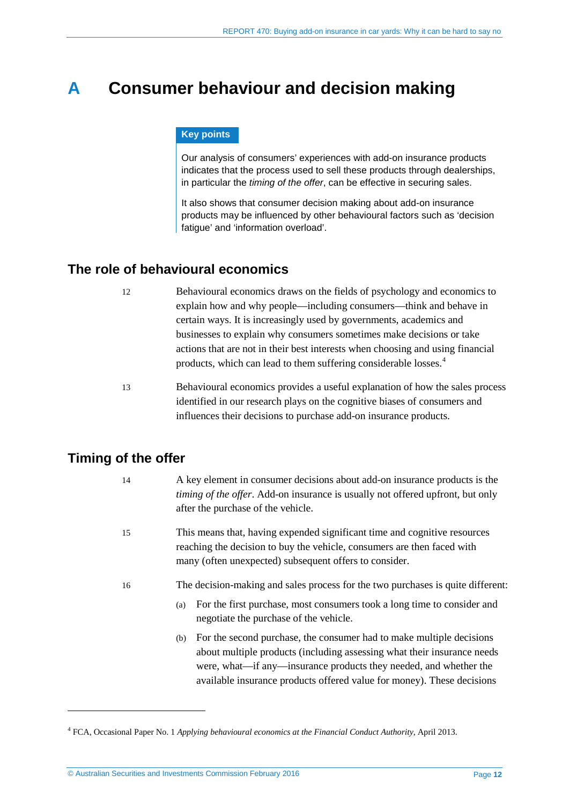# <span id="page-11-3"></span><span id="page-11-0"></span>**A Consumer behaviour and decision making**

### **Key points**

Our analysis of consumers' experiences with add-on insurance products indicates that the process used to sell these products through dealerships, in particular the *timing of the offer*, can be effective in securing sales.

It also shows that consumer decision making about add-on insurance products may be influenced by other behavioural factors such as 'decision fatigue' and 'information overload'.

# <span id="page-11-1"></span>**The role of behavioural economics**

- 12 Behavioural economics draws on the fields of psychology and economics to explain how and why people—including consumers—think and behave in certain ways. It is increasingly used by governments, academics and businesses to explain why consumers sometimes make decisions or take actions that are not in their best interests when choosing and using financial products, which can lead to them suffering considerable losses.[4](#page-11-4)
- 13 Behavioural economics provides a useful explanation of how the sales process identified in our research plays on the cognitive biases of consumers and influences their decisions to purchase add-on insurance products.

# <span id="page-11-2"></span>**Timing of the offer**

<u>.</u>

| 14 | A key element in consumer decisions about add-on insurance products is the            |
|----|---------------------------------------------------------------------------------------|
|    | <i>timing of the offer.</i> Add-on insurance is usually not offered upfront, but only |
|    | after the purchase of the vehicle.                                                    |

- 15 This means that, having expended significant time and cognitive resources reaching the decision to buy the vehicle, consumers are then faced with many (often unexpected) subsequent offers to consider.
- 16 The decision-making and sales process for the two purchases is quite different:
	- (a) For the first purchase, most consumers took a long time to consider and negotiate the purchase of the vehicle.
	- (b) For the second purchase, the consumer had to make multiple decisions about multiple products (including assessing what their insurance needs were, what—if any—insurance products they needed, and whether the available insurance products offered value for money). These decisions

<span id="page-11-4"></span><sup>4</sup> FCA, Occasional Paper No. 1 *Applying behavioural economics at the Financial Conduct Authority*, April 2013.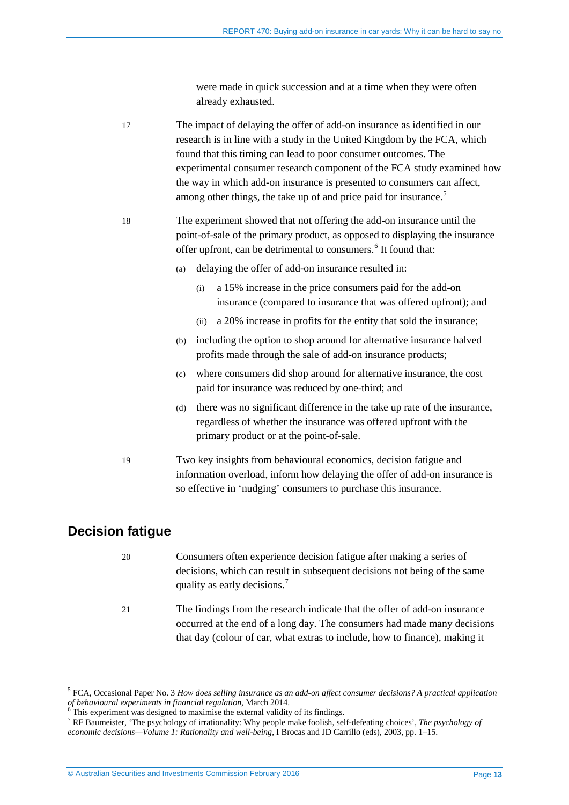were made in quick succession and at a time when they were often already exhausted.

17 The impact of delaying the offer of add-on insurance as identified in our research is in line with a study in the United Kingdom by the FCA, which found that this timing can lead to poor consumer outcomes. The experimental consumer research component of the FCA study examined how the way in which add-on insurance is presented to consumers can affect, among other things, the take up of and price paid for insurance.<sup>[5](#page-12-1)</sup>

- 18 The experiment showed that not offering the add-on insurance until the point-of-sale of the primary product, as opposed to displaying the insurance offer upfront, can be detrimental to consumers.<sup>[6](#page-12-2)</sup> It found that:
	- (a) delaying the offer of add-on insurance resulted in:
		- (i) a 15% increase in the price consumers paid for the add-on insurance (compared to insurance that was offered upfront); and
		- (ii) a 20% increase in profits for the entity that sold the insurance;
	- (b) including the option to shop around for alternative insurance halved profits made through the sale of add-on insurance products;
	- (c) where consumers did shop around for alternative insurance, the cost paid for insurance was reduced by one-third; and
	- (d) there was no significant difference in the take up rate of the insurance, regardless of whether the insurance was offered upfront with the primary product or at the point-of-sale.
- 19 Two key insights from behavioural economics, decision fatigue and information overload, inform how delaying the offer of add-on insurance is so effective in 'nudging' consumers to purchase this insurance.

# <span id="page-12-0"></span>**Decision fatigue**

- 20 Consumers often experience decision fatigue after making a series of decisions, which can result in subsequent decisions not being of the same quality as early decisions.<sup>[7](#page-12-3)</sup>
- 21 The findings from the research indicate that the offer of add-on insurance occurred at the end of a long day. The consumers had made many decisions that day (colour of car, what extras to include, how to finance), making it

<span id="page-12-1"></span><sup>5</sup> FCA, Occasional Paper No. 3 *How does selling insurance as an add-on affect consumer decisions? A practical application*  of behavioural experiments in financial regulation, March 2014.<br>
<sup>6</sup> This experiment was designed to maximise the external validity of its findings.<br>
<sup>7</sup> RF Baumeister, 'The psychology of irrationality: Why people make fo

<span id="page-12-2"></span>

<span id="page-12-3"></span>*economic decisions—Volume 1: Rationality and well-being*, I Brocas and JD Carrillo (eds), 2003, pp. 1–15.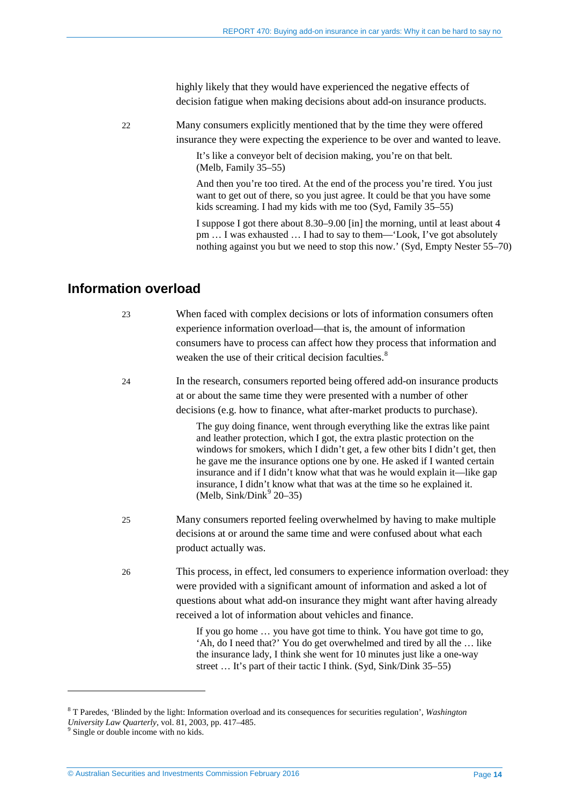highly likely that they would have experienced the negative effects of decision fatigue when making decisions about add-on insurance products.

22 Many consumers explicitly mentioned that by the time they were offered insurance they were expecting the experience to be over and wanted to leave.

> It's like a conveyor belt of decision making, you're on that belt. (Melb, Family 35–55)

And then you're too tired. At the end of the process you're tired. You just want to get out of there, so you just agree. It could be that you have some kids screaming. I had my kids with me too (Syd, Family 35–55)

I suppose I got there about 8.30–9.00 [in] the morning, until at least about 4 pm … I was exhausted … I had to say to them—'Look, I've got absolutely nothing against you but we need to stop this now.' (Syd, Empty Nester 55–70)

# <span id="page-13-0"></span>**Information overload**

23 When faced with complex decisions or lots of information consumers often experience information overload—that is, the amount of information consumers have to process can affect how they process that information and weaken the use of their critical decision faculties.<sup>[8](#page-13-1)</sup>

24 In the research, consumers reported being offered add-on insurance products at or about the same time they were presented with a number of other decisions (e.g. how to finance, what after-market products to purchase).

> The guy doing finance, went through everything like the extras like paint and leather protection, which I got, the extra plastic protection on the windows for smokers, which I didn't get, a few other bits I didn't get, then he gave me the insurance options one by one. He asked if I wanted certain insurance and if I didn't know what that was he would explain it—like gap insurance, I didn't know what that was at the time so he explained it. (Melb,  $\text{Sink} / \text{Dink}^9$  $\text{Sink} / \text{Dink}^9$  20–35)

- 25 Many consumers reported feeling overwhelmed by having to make multiple decisions at or around the same time and were confused about what each product actually was.
- 26 This process, in effect, led consumers to experience information overload: they were provided with a significant amount of information and asked a lot of questions about what add-on insurance they might want after having already received a lot of information about vehicles and finance.

If you go home … you have got time to think. You have got time to go, 'Ah, do I need that?' You do get overwhelmed and tired by all the … like the insurance lady, I think she went for 10 minutes just like a one-way street … It's part of their tactic I think. (Syd, Sink/Dink 35–55)

<u>.</u>

<span id="page-13-1"></span><sup>8</sup> T Paredes, 'Blinded by the light: Information overload and its consequences for securities regulation', *Washington University Law Quarterly*, vol. 81, 2003, pp. 417–485. <sup>9</sup> Single or double income with no kids.

<span id="page-13-2"></span>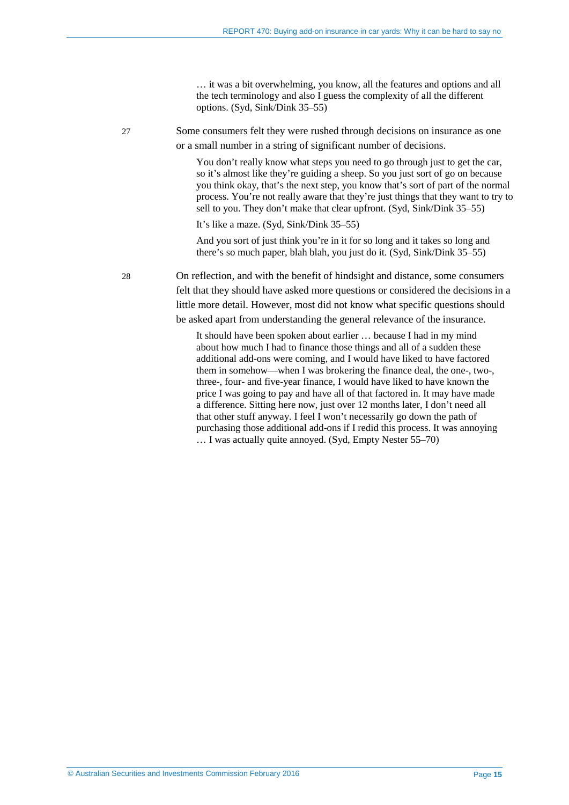… it was a bit overwhelming, you know, all the features and options and all the tech terminology and also I guess the complexity of all the different options. (Syd, Sink/Dink 35–55)

27 Some consumers felt they were rushed through decisions on insurance as one or a small number in a string of significant number of decisions.

> You don't really know what steps you need to go through just to get the car, so it's almost like they're guiding a sheep. So you just sort of go on because you think okay, that's the next step, you know that's sort of part of the normal process. You're not really aware that they're just things that they want to try to sell to you. They don't make that clear upfront. (Syd, Sink/Dink 35–55)

It's like a maze. (Syd, Sink/Dink 35–55)

And you sort of just think you're in it for so long and it takes so long and there's so much paper, blah blah, you just do it. (Syd, Sink/Dink 35–55)

28 On reflection, and with the benefit of hindsight and distance, some consumers felt that they should have asked more questions or considered the decisions in a little more detail. However, most did not know what specific questions should be asked apart from understanding the general relevance of the insurance.

> It should have been spoken about earlier … because I had in my mind about how much I had to finance those things and all of a sudden these additional add-ons were coming, and I would have liked to have factored them in somehow—when I was brokering the finance deal, the one-, two-, three-, four- and five-year finance, I would have liked to have known the price I was going to pay and have all of that factored in. It may have made a difference. Sitting here now, just over 12 months later, I don't need all that other stuff anyway. I feel I won't necessarily go down the path of purchasing those additional add-ons if I redid this process. It was annoying … I was actually quite annoyed. (Syd, Empty Nester 55–70)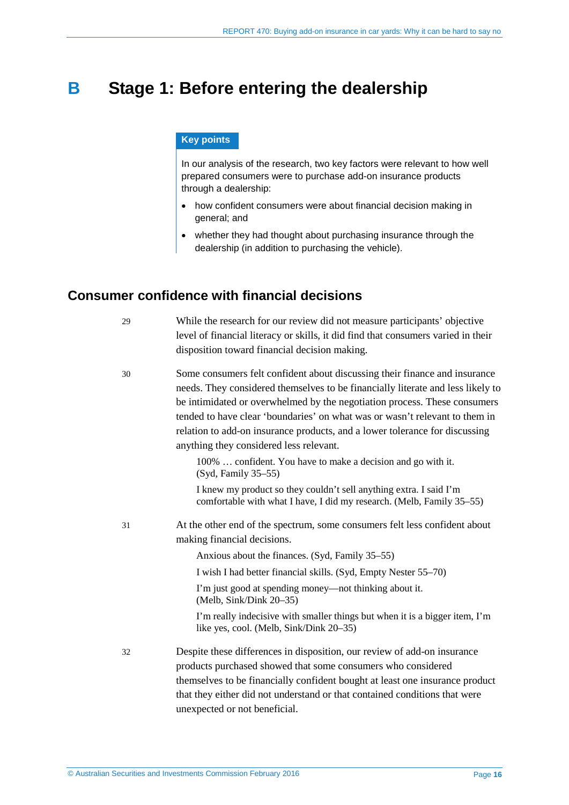# <span id="page-15-0"></span>**B** Stage 1: Before entering the dealership

### **Key points**

In our analysis of the research, two key factors were relevant to how well prepared consumers were to purchase add-on insurance products through a dealership:

- how confident consumers were about financial decision making in general; and
- whether they had thought about purchasing insurance through the dealership (in addition to purchasing the vehicle).

# <span id="page-15-2"></span><span id="page-15-1"></span>**Consumer confidence with financial decisions**

| While the research for our review did not measure participants' objective<br>level of financial literacy or skills, it did find that consumers varied in their<br>disposition toward financial decision making.                                                                                                                                                                                                                                     |
|-----------------------------------------------------------------------------------------------------------------------------------------------------------------------------------------------------------------------------------------------------------------------------------------------------------------------------------------------------------------------------------------------------------------------------------------------------|
| Some consumers felt confident about discussing their finance and insurance<br>needs. They considered themselves to be financially literate and less likely to<br>be intimidated or overwhelmed by the negotiation process. These consumers<br>tended to have clear 'boundaries' on what was or wasn't relevant to them in<br>relation to add-on insurance products, and a lower tolerance for discussing<br>anything they considered less relevant. |
| 100%  confident. You have to make a decision and go with it.<br>(Syd, Family 35–55)<br>I knew my product so they couldn't sell anything extra. I said I'm<br>comfortable with what I have, I did my research. (Melb, Family 35–55)                                                                                                                                                                                                                  |
| At the other end of the spectrum, some consumers felt less confident about<br>making financial decisions.                                                                                                                                                                                                                                                                                                                                           |
| Anxious about the finances. (Syd, Family 35–55)                                                                                                                                                                                                                                                                                                                                                                                                     |
| I wish I had better financial skills. (Syd, Empty Nester 55–70)<br>I'm just good at spending money—not thinking about it.                                                                                                                                                                                                                                                                                                                           |
| (Melb, Sink/Dink 20–35)                                                                                                                                                                                                                                                                                                                                                                                                                             |
| I'm really indecisive with smaller things but when it is a bigger item, I'm<br>like yes, cool. (Melb, Sink/Dink 20–35)                                                                                                                                                                                                                                                                                                                              |
| Despite these differences in disposition, our review of add-on insurance                                                                                                                                                                                                                                                                                                                                                                            |
| products purchased showed that some consumers who considered                                                                                                                                                                                                                                                                                                                                                                                        |
| themselves to be financially confident bought at least one insurance product<br>that they either did not understand or that contained conditions that were                                                                                                                                                                                                                                                                                          |
| unexpected or not beneficial.                                                                                                                                                                                                                                                                                                                                                                                                                       |
|                                                                                                                                                                                                                                                                                                                                                                                                                                                     |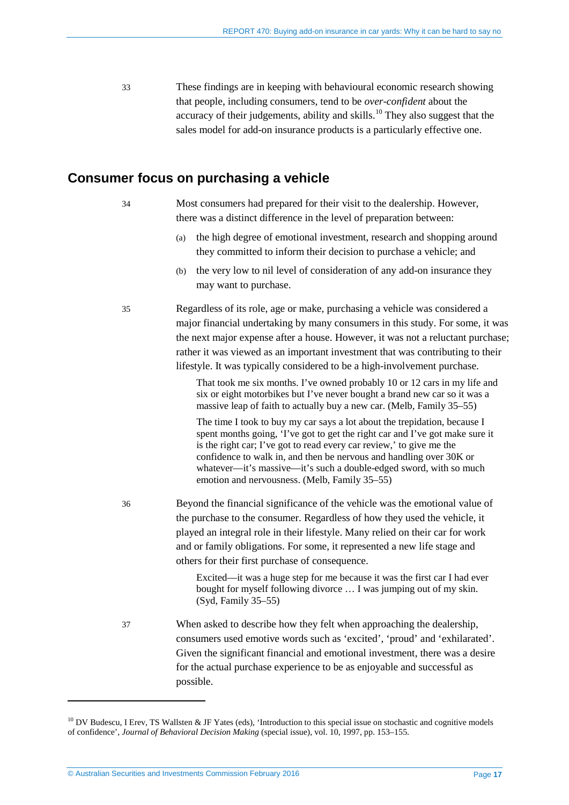<span id="page-16-2"></span>33 These findings are in keeping with behavioural economic research showing that people, including consumers, tend to be *over-confident* about the accuracy of their judgements, ability and skills.<sup>[10](#page-16-1)</sup> They also suggest that the sales model for add-on insurance products is a particularly effective one.

# <span id="page-16-0"></span>**Consumer focus on purchasing a vehicle**

| -34 | Most consumers had prepared for their visit to the dealership. However, |
|-----|-------------------------------------------------------------------------|
|     | there was a distinct difference in the level of preparation between:    |

- (a) the high degree of emotional investment, research and shopping around they committed to inform their decision to purchase a vehicle; and
- (b) the very low to nil level of consideration of any add-on insurance they may want to purchase.

35 Regardless of its role, age or make, purchasing a vehicle was considered a major financial undertaking by many consumers in this study. For some, it was the next major expense after a house. However, it was not a reluctant purchase; rather it was viewed as an important investment that was contributing to their lifestyle. It was typically considered to be a high-involvement purchase.

> That took me six months. I've owned probably 10 or 12 cars in my life and six or eight motorbikes but I've never bought a brand new car so it was a massive leap of faith to actually buy a new car. (Melb, Family 35–55)

The time I took to buy my car says a lot about the trepidation, because I spent months going, 'I've got to get the right car and I've got make sure it is the right car; I've got to read every car review,' to give me the confidence to walk in, and then be nervous and handling over 30K or whatever—it's massive—it's such a double-edged sword, with so much emotion and nervousness. (Melb, Family 35–55)

36 Beyond the financial significance of the vehicle was the emotional value of the purchase to the consumer. Regardless of how they used the vehicle, it played an integral role in their lifestyle. Many relied on their car for work and or family obligations. For some, it represented a new life stage and others for their first purchase of consequence.

> Excited—it was a huge step for me because it was the first car I had ever bought for myself following divorce … I was jumping out of my skin. (Syd, Family 35–55)

37 When asked to describe how they felt when approaching the dealership, consumers used emotive words such as 'excited', 'proud' and 'exhilarated'. Given the significant financial and emotional investment, there was a desire for the actual purchase experience to be as enjoyable and successful as possible.

<span id="page-16-1"></span> $10$  DV Budescu, I Erev, TS Wallsten & JF Yates (eds), 'Introduction to this special issue on stochastic and cognitive models of confidence', *Journal of Behavioral Decision Making* (special issue), vol. 10, 1997, pp. 153–155.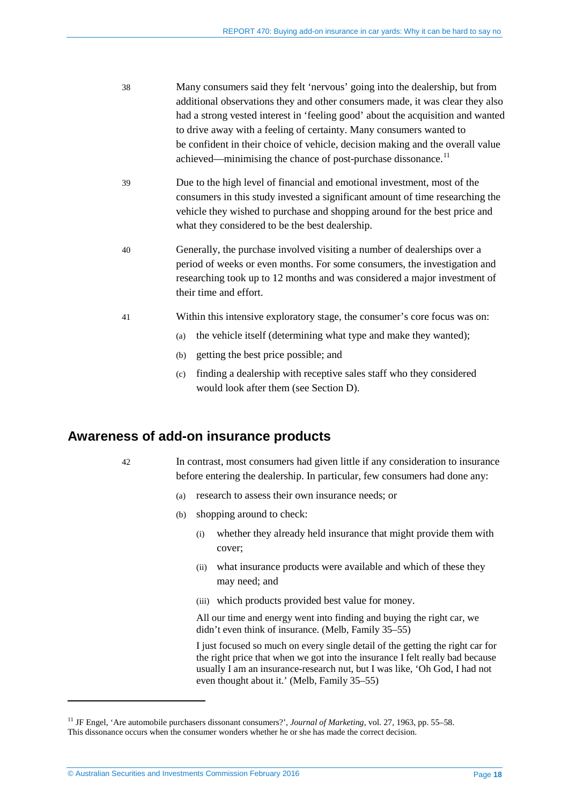- 38 Many consumers said they felt 'nervous' going into the dealership, but from additional observations they and other consumers made, it was clear they also had a strong vested interest in 'feeling good' about the acquisition and wanted to drive away with a feeling of certainty. Many consumers wanted to be confident in their choice of vehicle, decision making and the overall value achieved—minimising the chance of post-purchase dissonance.<sup>[11](#page-17-1)</sup>
- 39 Due to the high level of financial and emotional investment, most of the consumers in this study invested a significant amount of time researching the vehicle they wished to purchase and shopping around for the best price and what they considered to be the best dealership.
- 40 Generally, the purchase involved visiting a number of dealerships over a period of weeks or even months. For some consumers, the investigation and researching took up to 12 months and was considered a major investment of their time and effort.
- 41 Within this intensive exploratory stage, the consumer's core focus was on:
	- (a) the vehicle itself (determining what type and make they wanted);
	- (b) getting the best price possible; and
	- (c) finding a dealership with receptive sales staff who they considered would look after them (see Section [D\)](#page-33-0).

# <span id="page-17-0"></span>**Awareness of add-on insurance products**

-

- 42 In contrast, most consumers had given little if any consideration to insurance before entering the dealership. In particular, few consumers had done any:
	- (a) research to assess their own insurance needs; or
	- (b) shopping around to check:
		- (i) whether they already held insurance that might provide them with cover;
		- (ii) what insurance products were available and which of these they may need; and
		- (iii) which products provided best value for money.

All our time and energy went into finding and buying the right car, we didn't even think of insurance. (Melb, Family 35–55)

I just focused so much on every single detail of the getting the right car for the right price that when we got into the insurance I felt really bad because usually I am an insurance-research nut, but I was like, 'Oh God, I had not even thought about it.' (Melb, Family 35–55)

<span id="page-17-1"></span><sup>&</sup>lt;sup>11</sup> JF Engel, 'Are automobile purchasers dissonant consumers?', *Journal of Marketing*, vol. 27, 1963, pp. 55–58. This dissonance occurs when the consumer wonders whether he or she has made the correct decision.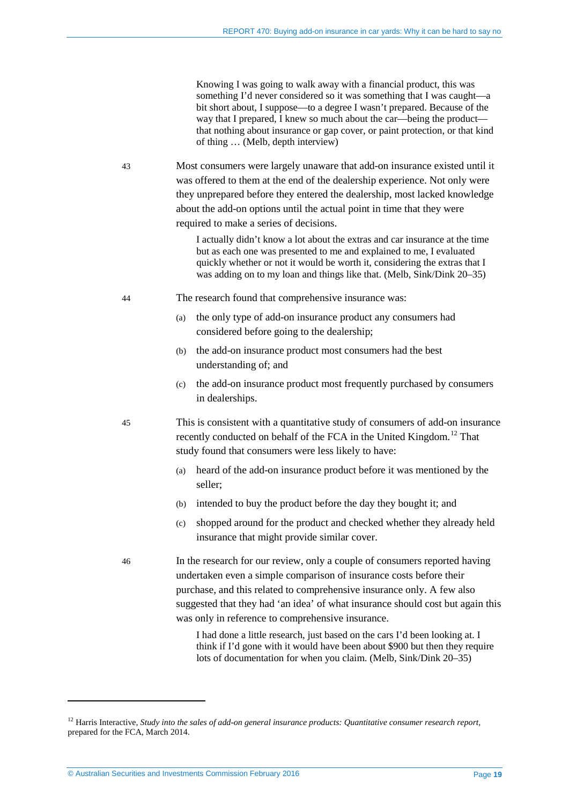Knowing I was going to walk away with a financial product, this was something I'd never considered so it was something that I was caught—a bit short about, I suppose—to a degree I wasn't prepared. Because of the way that I prepared, I knew so much about the car—being the product that nothing about insurance or gap cover, or paint protection, or that kind of thing … (Melb, depth interview)

43 Most consumers were largely unaware that add-on insurance existed until it was offered to them at the end of the dealership experience. Not only were they unprepared before they entered the dealership, most lacked knowledge about the add-on options until the actual point in time that they were required to make a series of decisions.

> I actually didn't know a lot about the extras and car insurance at the time but as each one was presented to me and explained to me, I evaluated quickly whether or not it would be worth it, considering the extras that I was adding on to my loan and things like that. (Melb, Sink/Dink 20–35)

- 44 The research found that comprehensive insurance was:
	- (a) the only type of add-on insurance product any consumers had considered before going to the dealership;
	- (b) the add-on insurance product most consumers had the best understanding of; and
	- (c) the add-on insurance product most frequently purchased by consumers in dealerships.

45 This is consistent with a quantitative study of consumers of add-on insurance recently conducted on behalf of the FCA in the United Kingdom.<sup>[12](#page-18-0)</sup> That study found that consumers were less likely to have:

- (a) heard of the add-on insurance product before it was mentioned by the seller;
- (b) intended to buy the product before the day they bought it; and
- (c) shopped around for the product and checked whether they already held insurance that might provide similar cover.
- 46 In the research for our review, only a couple of consumers reported having undertaken even a simple comparison of insurance costs before their purchase, and this related to comprehensive insurance only. A few also suggested that they had 'an idea' of what insurance should cost but again this was only in reference to comprehensive insurance.

I had done a little research, just based on the cars I'd been looking at. I think if I'd gone with it would have been about \$900 but then they require lots of documentation for when you claim. (Melb, Sink/Dink 20–35)

<span id="page-18-0"></span><sup>&</sup>lt;sup>12</sup> Harris Interactive, *Study into the sales of add-on general insurance products: Quantitative consumer research report*, prepared for the FCA, March 2014.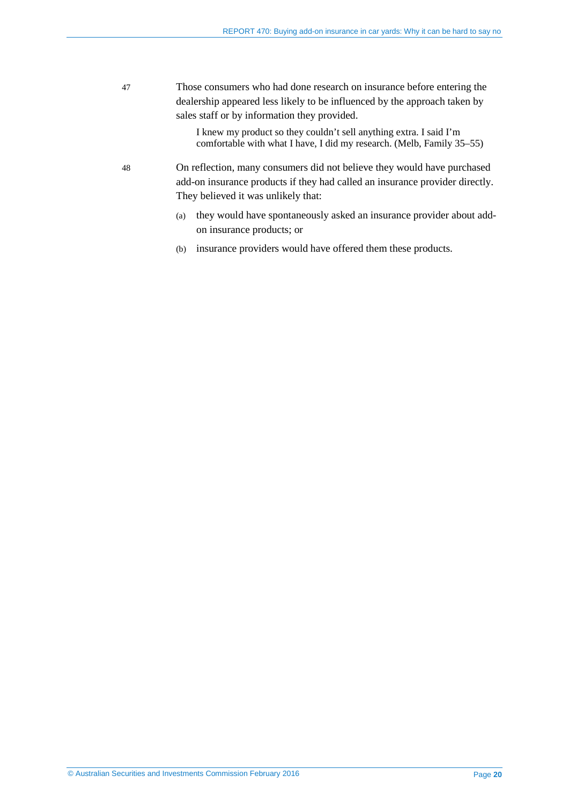47 Those consumers who had done research on insurance before entering the dealership appeared less likely to be influenced by the approach taken by sales staff or by information they provided.

> I knew my product so they couldn't sell anything extra. I said I'm comfortable with what I have, I did my research. (Melb, Family 35–55)

- 48 On reflection, many consumers did not believe they would have purchased add-on insurance products if they had called an insurance provider directly. They believed it was unlikely that:
	- (a) they would have spontaneously asked an insurance provider about addon insurance products; or
	- (b) insurance providers would have offered them these products.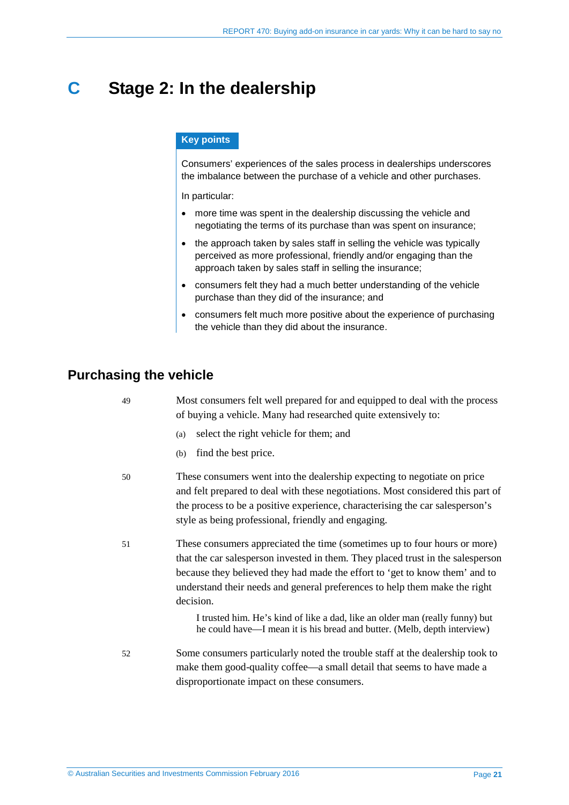# <span id="page-20-0"></span>**C Stage 2: In the dealership**

### **Key points**

Consumers' experiences of the sales process in dealerships underscores the imbalance between the purchase of a vehicle and other purchases.

In particular:

- more time was spent in the dealership discussing the vehicle and negotiating the terms of its purchase than was spent on insurance;
- the approach taken by sales staff in selling the vehicle was typically perceived as more professional, friendly and/or engaging than the approach taken by sales staff in selling the insurance;
- consumers felt they had a much better understanding of the vehicle purchase than they did of the insurance; and
- consumers felt much more positive about the experience of purchasing the vehicle than they did about the insurance.

# <span id="page-20-1"></span>**Purchasing the vehicle**

| 49 | Most consumers felt well prepared for and equipped to deal with the process<br>of buying a vehicle. Many had researched quite extensively to:                                                                                                                                                                                                                                                                          |
|----|------------------------------------------------------------------------------------------------------------------------------------------------------------------------------------------------------------------------------------------------------------------------------------------------------------------------------------------------------------------------------------------------------------------------|
|    | select the right vehicle for them; and<br>(a)                                                                                                                                                                                                                                                                                                                                                                          |
|    | find the best price.<br>(b)                                                                                                                                                                                                                                                                                                                                                                                            |
| 50 | These consumers went into the dealership expecting to negotiate on price<br>and felt prepared to deal with these negotiations. Most considered this part of<br>the process to be a positive experience, characterising the car salesperson's<br>style as being professional, friendly and engaging.                                                                                                                    |
| 51 | These consumers appreciated the time (sometimes up to four hours or more)<br>that the car salesperson invested in them. They placed trust in the salesperson<br>because they believed they had made the effort to 'get to know them' and to<br>understand their needs and general preferences to help them make the right<br>decision.<br>I trusted him. He's kind of like a dad, like an older man (really funny) but |
| 52 | he could have—I mean it is his bread and butter. (Melb, depth interview)<br>Some consumers particularly noted the trouble staff at the dealership took to<br>make them good-quality coffee—a small detail that seems to have made a<br>disproportionate impact on these consumers.                                                                                                                                     |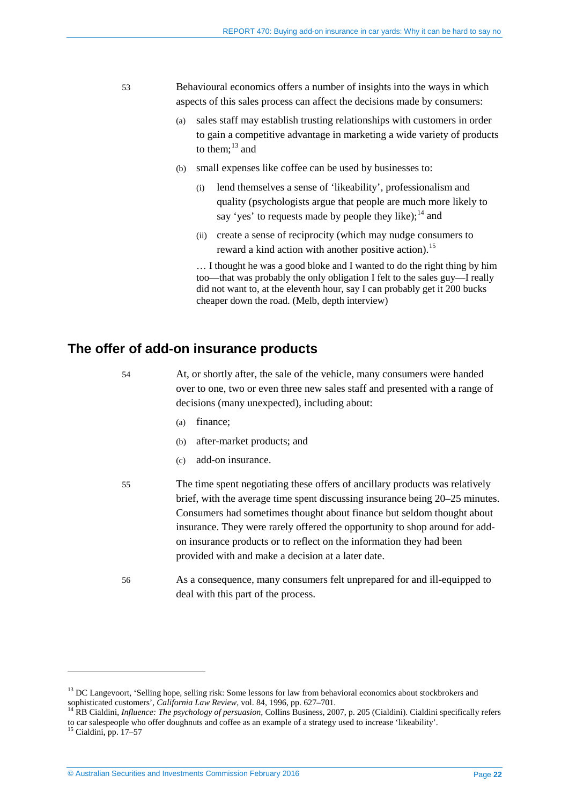- 53 Behavioural economics offers a number of insights into the ways in which aspects of this sales process can affect the decisions made by consumers:
	- (a) sales staff may establish trusting relationships with customers in order to gain a competitive advantage in marketing a wide variety of products to them: $^{13}$  $^{13}$  $^{13}$  and
	- (b) small expenses like coffee can be used by businesses to:
		- lend themselves a sense of 'likeability', professionalism and quality (psychologists argue that people are much more likely to say 'yes' to requests made by people they like);  $^{14}$  $^{14}$  $^{14}$  and
		- (ii) create a sense of reciprocity (which may nudge consumers to reward a kind action with another positive action).<sup>[15](#page-21-3)</sup>

… I thought he was a good bloke and I wanted to do the right thing by him too—that was probably the only obligation I felt to the sales guy—I really did not want to, at the eleventh hour, say I can probably get it 200 bucks cheaper down the road. (Melb, depth interview)

# <span id="page-21-0"></span>**The offer of add-on insurance products**

54 At, or shortly after, the sale of the vehicle, many consumers were handed over to one, two or even three new sales staff and presented with a range of decisions (many unexpected), including about:

- (a) finance;
- (b) after-market products; and
- (c) add-on insurance.
- 55 The time spent negotiating these offers of ancillary products was relatively brief, with the average time spent discussing insurance being 20–25 minutes. Consumers had sometimes thought about finance but seldom thought about insurance. They were rarely offered the opportunity to shop around for addon insurance products or to reflect on the information they had been provided with and make a decision at a later date.
- 56 As a consequence, many consumers felt unprepared for and ill-equipped to deal with this part of the process.

<span id="page-21-1"></span> $<sup>13</sup>$  DC Langevoort, 'Selling hope, selling risk: Some lessons for law from behavioral economics about stockbrokers and</sup> sophisticated customers', *California Law Review*, vol. 84, 1996, pp. 627–701.<br><sup>14</sup> RB Cialdini, *Influence: The psychology of persuasion*, Collins Business, 2007, p. 205 (Cialdini). Cialdini specifically refers

<span id="page-21-2"></span>to car salespeople who offer doughnuts and coffee as an example of a strategy used to increase 'likeability'.

<span id="page-21-3"></span><sup>15</sup> Cialdini, pp. 17–57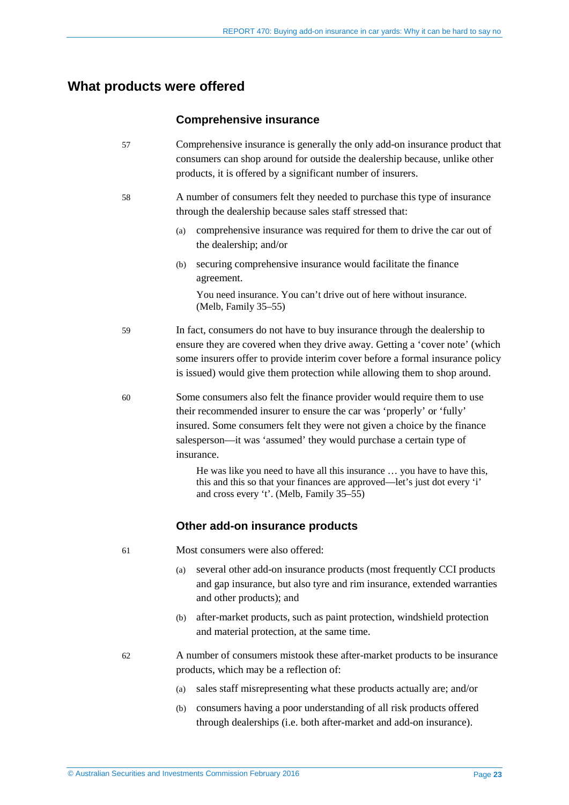# <span id="page-22-0"></span>**What products were offered**

### **Comprehensive insurance**

(Melb, Family 35–55)

- 57 Comprehensive insurance is generally the only add-on insurance product that consumers can shop around for outside the dealership because, unlike other products, it is offered by a significant number of insurers.
- 58 A number of consumers felt they needed to purchase this type of insurance through the dealership because sales staff stressed that:
	- (a) comprehensive insurance was required for them to drive the car out of the dealership; and/or
	- (b) securing comprehensive insurance would facilitate the finance agreement. You need insurance. You can't drive out of here without insurance.
- 59 In fact, consumers do not have to buy insurance through the dealership to ensure they are covered when they drive away. Getting a 'cover note' (which some insurers offer to provide interim cover before a formal insurance policy is issued) would give them protection while allowing them to shop around.
- 60 Some consumers also felt the finance provider would require them to use their recommended insurer to ensure the car was 'properly' or 'fully' insured. Some consumers felt they were not given a choice by the finance salesperson—it was 'assumed' they would purchase a certain type of insurance.

He was like you need to have all this insurance … you have to have this, this and this so that your finances are approved—let's just dot every 'i' and cross every 't'. (Melb, Family 35–55)

### **Other add-on insurance products**

- <span id="page-22-1"></span>61 Most consumers were also offered:
	- (a) several other add-on insurance products (most frequently CCI products and gap insurance, but also tyre and rim insurance, extended warranties and other products); and
	- (b) after-market products, such as paint protection, windshield protection and material protection, at the same time.
- <span id="page-22-2"></span>62 A number of consumers mistook these after-market products to be insurance products, which may be a reflection of:
	- (a) sales staff misrepresenting what these products actually are; and/or
	- (b) consumers having a poor understanding of all risk products offered through dealerships (i.e. both after-market and add-on insurance).

© Australian Securities and Investments Commission February 2016 Page **23**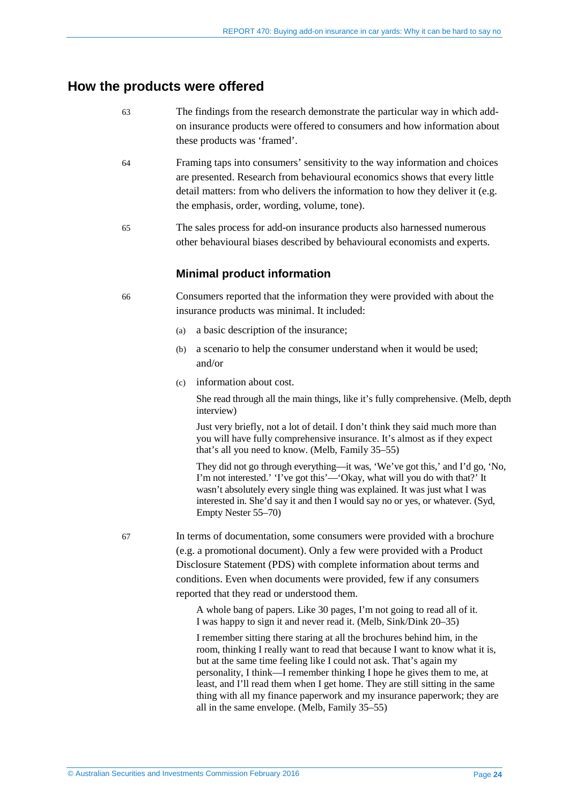# <span id="page-23-1"></span><span id="page-23-0"></span>**How the products were offered**

- 63 The findings from the research demonstrate the particular way in which addon insurance products were offered to consumers and how information about these products was 'framed'.
- 64 Framing taps into consumers' sensitivity to the way information and choices are presented. Research from behavioural economics shows that every little detail matters: from who delivers the information to how they deliver it (e.g. the emphasis, order, wording, volume, tone).
- 65 The sales process for add-on insurance products also harnessed numerous other behavioural biases described by behavioural economists and experts.

### **Minimal product information**

<span id="page-23-2"></span>66 Consumers reported that the information they were provided with about the insurance products was minimal. It included:

- (a) a basic description of the insurance;
- (b) a scenario to help the consumer understand when it would be used; and/or
- (c) information about cost.

She read through all the main things, like it's fully comprehensive. (Melb, depth interview)

Just very briefly, not a lot of detail. I don't think they said much more than you will have fully comprehensive insurance. It's almost as if they expect that's all you need to know. (Melb, Family 35–55)

They did not go through everything—it was, 'We've got this,' and I'd go, 'No, I'm not interested.' 'I've got this'—'Okay, what will you do with that?' It wasn't absolutely every single thing was explained. It was just what I was interested in. She'd say it and then I would say no or yes, or whatever. (Syd, Empty Nester 55–70)

67 In terms of documentation, some consumers were provided with a brochure (e.g. a promotional document). Only a few were provided with a Product Disclosure Statement (PDS) with complete information about terms and conditions. Even when documents were provided, few if any consumers reported that they read or understood them.

> A whole bang of papers. Like 30 pages, I'm not going to read all of it. I was happy to sign it and never read it. (Melb, Sink/Dink 20–35)

I remember sitting there staring at all the brochures behind him, in the room, thinking I really want to read that because I want to know what it is, but at the same time feeling like I could not ask. That's again my personality, I think—I remember thinking I hope he gives them to me, at least, and I'll read them when I get home. They are still sitting in the same thing with all my finance paperwork and my insurance paperwork; they are all in the same envelope. (Melb, Family 35–55)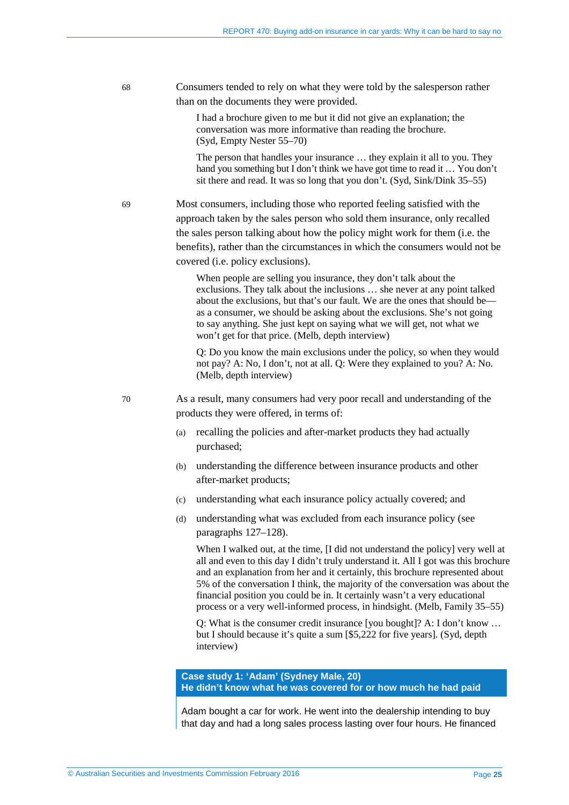68 Consumers tended to rely on what they were told by the salesperson rather than on the documents they were provided.

> I had a brochure given to me but it did not give an explanation; the conversation was more informative than reading the brochure. (Syd, Empty Nester 55–70)

The person that handles your insurance … they explain it all to you. They hand you something but I don't think we have got time to read it … You don't sit there and read. It was so long that you don't. (Syd, Sink/Dink 35–55)

69 Most consumers, including those who reported feeling satisfied with the approach taken by the sales person who sold them insurance, only recalled the sales person talking about how the policy might work for them (i.e. the benefits), rather than the circumstances in which the consumers would not be covered (i.e. policy exclusions).

> When people are selling you insurance, they don't talk about the exclusions. They talk about the inclusions … she never at any point talked about the exclusions, but that's our fault. We are the ones that should be as a consumer, we should be asking about the exclusions. She's not going to say anything. She just kept on saying what we will get, not what we won't get for that price. (Melb, depth interview)

Q: Do you know the main exclusions under the policy, so when they would not pay? A: No, I don't, not at all. Q: Were they explained to you? A: No. (Melb, depth interview)

<span id="page-24-0"></span>70 As a result, many consumers had very poor recall and understanding of the products they were offered, in terms of:

- (a) recalling the policies and after-market products they had actually purchased;
- (b) understanding the difference between insurance products and other after-market products;
- (c) understanding what each insurance policy actually covered; and
- (d) understanding what was excluded from each insurance policy (see paragraphs [127](#page-39-1)[–128\)](#page-39-2).

When I walked out, at the time, [I did not understand the policy] very well at all and even to this day I didn't truly understand it. All I got was this brochure and an explanation from her and it certainly, this brochure represented about 5% of the conversation I think, the majority of the conversation was about the financial position you could be in. It certainly wasn't a very educational process or a very well-informed process, in hindsight. (Melb, Family 35–55)

Q: What is the consumer credit insurance [you bought]? A: I don't know … but I should because it's quite a sum [\$5,222 for five years]. (Syd, depth interview)

**Case study 1: 'Adam' (Sydney Male, 20) He didn't know what he was covered for or how much he had paid**

Adam bought a car for work. He went into the dealership intending to buy that day and had a long sales process lasting over four hours. He financed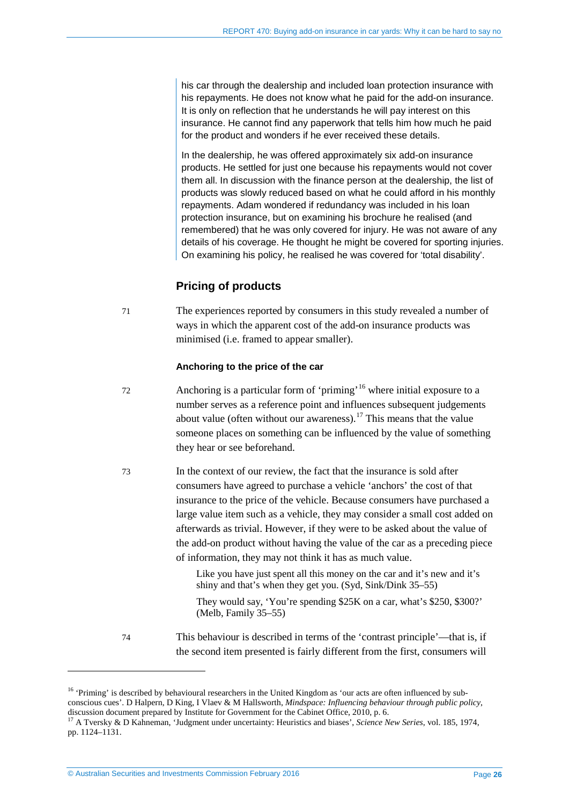his car through the dealership and included loan protection insurance with his repayments. He does not know what he paid for the add-on insurance. It is only on reflection that he understands he will pay interest on this insurance. He cannot find any paperwork that tells him how much he paid for the product and wonders if he ever received these details.

In the dealership, he was offered approximately six add-on insurance products. He settled for just one because his repayments would not cover them all. In discussion with the finance person at the dealership, the list of products was slowly reduced based on what he could afford in his monthly repayments. Adam wondered if redundancy was included in his loan protection insurance, but on examining his brochure he realised (and remembered) that he was only covered for injury. He was not aware of any details of his coverage. He thought he might be covered for sporting injuries. On examining his policy, he realised he was covered for 'total disability'.

# **Pricing of products**

71 The experiences reported by consumers in this study revealed a number of ways in which the apparent cost of the add-on insurance products was minimised (i.e. framed to appear smaller).

### **Anchoring to the price of the car**

- 72 Anchoring is a particular form of 'priming' [16](#page-25-0) where initial exposure to a number serves as a reference point and influences subsequent judgements about value (often without our awareness).<sup>[17](#page-25-1)</sup> This means that the value someone places on something can be influenced by the value of something they hear or see beforehand.
- 73 In the context of our review, the fact that the insurance is sold after consumers have agreed to purchase a vehicle 'anchors' the cost of that insurance to the price of the vehicle. Because consumers have purchased a large value item such as a vehicle, they may consider a small cost added on afterwards as trivial. However, if they were to be asked about the value of the add-on product without having the value of the car as a preceding piece of information, they may not think it has as much value.

Like you have just spent all this money on the car and it's new and it's shiny and that's when they get you. (Syd, Sink/Dink 35–55)

They would say, 'You're spending \$25K on a car, what's \$250, \$300?' (Melb, Family 35–55)

74 This behaviour is described in terms of the 'contrast principle'—that is, if the second item presented is fairly different from the first, consumers will

<span id="page-25-0"></span><sup>&</sup>lt;sup>16</sup> 'Priming' is described by behavioural researchers in the United Kingdom as 'our acts are often influenced by subconscious cues'. D Halpern, D King, I Vlaev & M Hallsworth, *Mindspace: Influencing behaviour through public policy*, discussion document prepared by Institute for Government for the Cabinet Office, 2010, p. 6. 17 A Tversky & D Kahneman, 'Judgment under uncertainty: Heuristics and biases', *Science New Series*, vol. 185, 1974,

<span id="page-25-1"></span>pp. 1124–1131.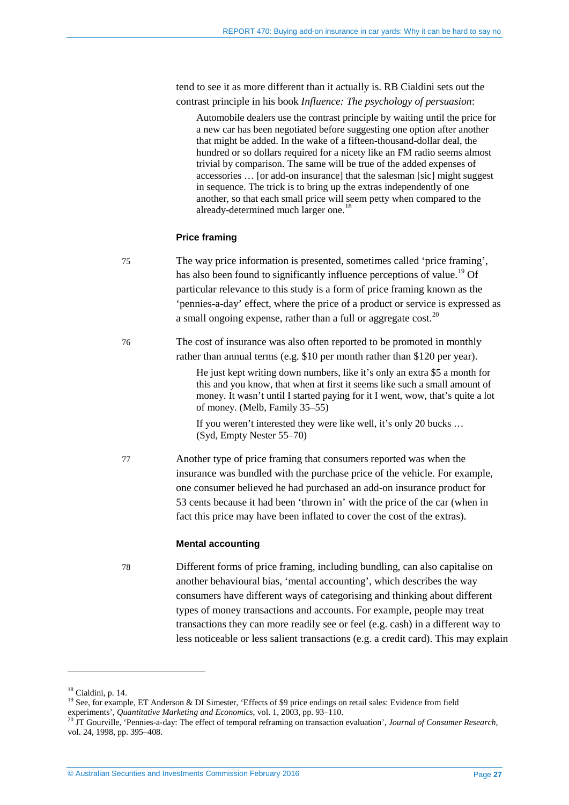tend to see it as more different than it actually is. RB Cialdini sets out the contrast principle in his book *Influence: The psychology of persuasion*:

Automobile dealers use the contrast principle by waiting until the price for a new car has been negotiated before suggesting one option after another that might be added. In the wake of a fifteen-thousand-dollar deal, the hundred or so dollars required for a nicety like an FM radio seems almost trivial by comparison. The same will be true of the added expenses of accessories … [or add-on insurance] that the salesman [sic] might suggest in sequence. The trick is to bring up the extras independently of one another, so that each small price will seem petty when compared to the already-determined much larger one.<sup>1</sup>

### **Price framing**

- 75 The way price information is presented, sometimes called 'price framing', has also been found to significantly influence perceptions of value.<sup>[19](#page-26-1)</sup> Of particular relevance to this study is a form of price framing known as the 'pennies-a-day' effect, where the price of a product or service is expressed as a small ongoing expense, rather than a full or aggregate cost.<sup>[20](#page-26-2)</sup>
- 76 The cost of insurance was also often reported to be promoted in monthly rather than annual terms (e.g. \$10 per month rather than \$120 per year).

He just kept writing down numbers, like it's only an extra \$5 a month for this and you know, that when at first it seems like such a small amount of money. It wasn't until I started paying for it I went, wow, that's quite a lot of money. (Melb, Family 35–55)

If you weren't interested they were like well, it's only 20 bucks … (Syd, Empty Nester 55–70)

77 Another type of price framing that consumers reported was when the insurance was bundled with the purchase price of the vehicle. For example, one consumer believed he had purchased an add-on insurance product for 53 cents because it had been 'thrown in' with the price of the car (when in fact this price may have been inflated to cover the cost of the extras).

### **Mental accounting**

78 Different forms of price framing, including bundling, can also capitalise on another behavioural bias, 'mental accounting', which describes the way consumers have different ways of categorising and thinking about different types of money transactions and accounts. For example, people may treat transactions they can more readily see or feel (e.g. cash) in a different way to less noticeable or less salient transactions (e.g. a credit card). This may explain

<span id="page-26-1"></span><span id="page-26-0"></span><sup>&</sup>lt;sup>18</sup> Cialdini, p. 14. <sup>19</sup> See, for example, ET Anderson & DI Simester, 'Effects of \$9 price endings on retail sales: Evidence from field experiments', *Quantitative Marketing and Economics*, vol. 1, 2003, pp. 93–110.<br><sup>20</sup> JT Gourville, 'Pennies-a-day: The effect of temporal reframing on transaction evaluation', *Journal of Consumer Research*,

<span id="page-26-2"></span>vol. 24, 1998, pp. 395–408.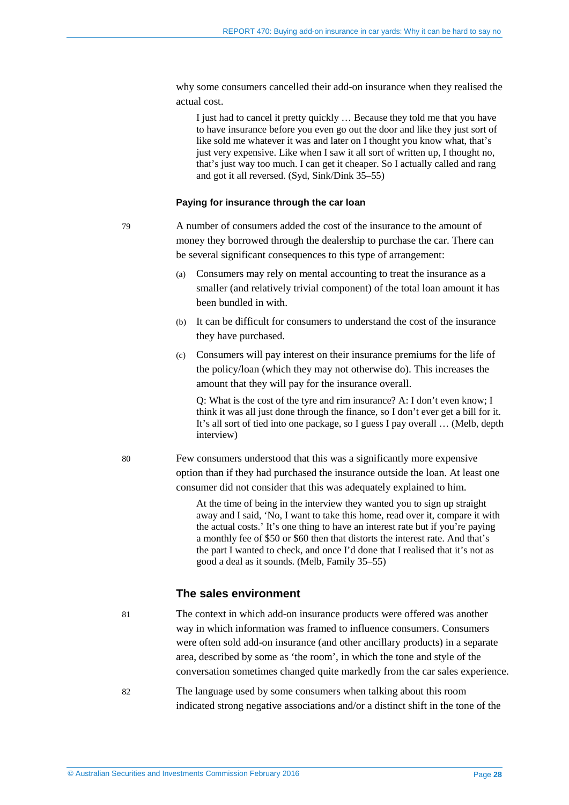why some consumers cancelled their add-on insurance when they realised the actual cost.

I just had to cancel it pretty quickly … Because they told me that you have to have insurance before you even go out the door and like they just sort of like sold me whatever it was and later on I thought you know what, that's just very expensive. Like when I saw it all sort of written up, I thought no, that's just way too much. I can get it cheaper. So I actually called and rang and got it all reversed. (Syd, Sink/Dink 35–55)

#### **Paying for insurance through the car loan**

- 79 A number of consumers added the cost of the insurance to the amount of money they borrowed through the dealership to purchase the car. There can be several significant consequences to this type of arrangement:
	- (a) Consumers may rely on mental accounting to treat the insurance as a smaller (and relatively trivial component) of the total loan amount it has been bundled in with.
	- (b) It can be difficult for consumers to understand the cost of the insurance they have purchased.
	- (c) Consumers will pay interest on their insurance premiums for the life of the policy/loan (which they may not otherwise do). This increases the amount that they will pay for the insurance overall.

Q: What is the cost of the tyre and rim insurance? A: I don't even know; I think it was all just done through the finance, so I don't ever get a bill for it. It's all sort of tied into one package, so I guess I pay overall … (Melb, depth interview)

80 Few consumers understood that this was a significantly more expensive option than if they had purchased the insurance outside the loan. At least one consumer did not consider that this was adequately explained to him.

> At the time of being in the interview they wanted you to sign up straight away and I said, 'No, I want to take this home, read over it, compare it with the actual costs.' It's one thing to have an interest rate but if you're paying a monthly fee of \$50 or \$60 then that distorts the interest rate. And that's the part I wanted to check, and once I'd done that I realised that it's not as good a deal as it sounds. (Melb, Family 35–55)

### **The sales environment**

81 The context in which add-on insurance products were offered was another way in which information was framed to influence consumers. Consumers were often sold add-on insurance (and other ancillary products) in a separate area, described by some as 'the room', in which the tone and style of the conversation sometimes changed quite markedly from the car sales experience.

82 The language used by some consumers when talking about this room indicated strong negative associations and/or a distinct shift in the tone of the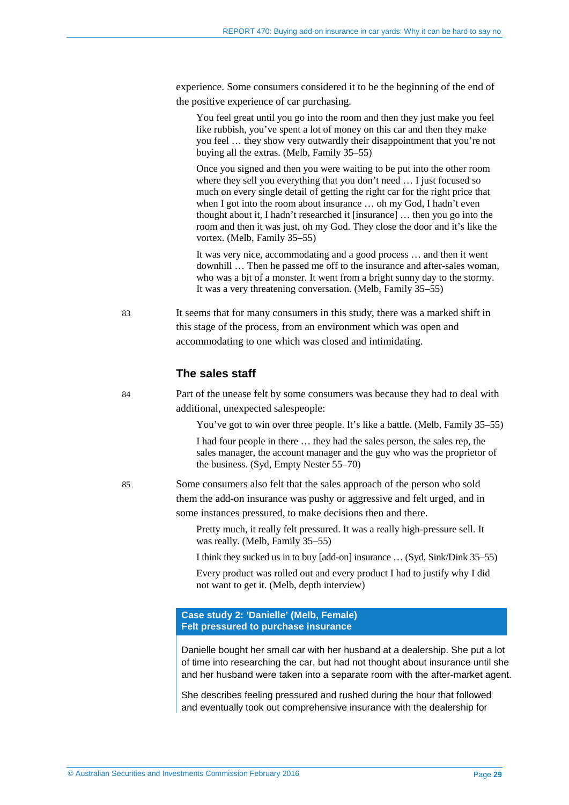experience. Some consumers considered it to be the beginning of the end of the positive experience of car purchasing.

You feel great until you go into the room and then they just make you feel like rubbish, you've spent a lot of money on this car and then they make you feel … they show very outwardly their disappointment that you're not buying all the extras. (Melb, Family 35–55)

Once you signed and then you were waiting to be put into the other room where they sell you everything that you don't need … I just focused so much on every single detail of getting the right car for the right price that when I got into the room about insurance … oh my God, I hadn't even thought about it, I hadn't researched it [insurance] … then you go into the room and then it was just, oh my God. They close the door and it's like the vortex. (Melb, Family 35–55)

It was very nice, accommodating and a good process … and then it went downhill … Then he passed me off to the insurance and after-sales woman, who was a bit of a monster. It went from a bright sunny day to the stormy. It was a very threatening conversation. (Melb, Family 35–55)

83 It seems that for many consumers in this study, there was a marked shift in this stage of the process, from an environment which was open and accommodating to one which was closed and intimidating.

### **The sales staff**

84 Part of the unease felt by some consumers was because they had to deal with additional, unexpected salespeople:

You've got to win over three people. It's like a battle. (Melb, Family 35–55)

I had four people in there … they had the sales person, the sales rep, the sales manager, the account manager and the guy who was the proprietor of the business. (Syd, Empty Nester 55–70)

85 Some consumers also felt that the sales approach of the person who sold them the add-on insurance was pushy or aggressive and felt urged, and in some instances pressured, to make decisions then and there.

> Pretty much, it really felt pressured. It was a really high-pressure sell. It was really. (Melb, Family 35–55)

I think they sucked us in to buy [add-on] insurance … (Syd, Sink/Dink 35–55)

Every product was rolled out and every product I had to justify why I did not want to get it. (Melb, depth interview)

#### **Case study 2: 'Danielle' (Melb, Female) Felt pressured to purchase insurance**

Danielle bought her small car with her husband at a dealership. She put a lot of time into researching the car, but had not thought about insurance until she and her husband were taken into a separate room with the after-market agent.

She describes feeling pressured and rushed during the hour that followed and eventually took out comprehensive insurance with the dealership for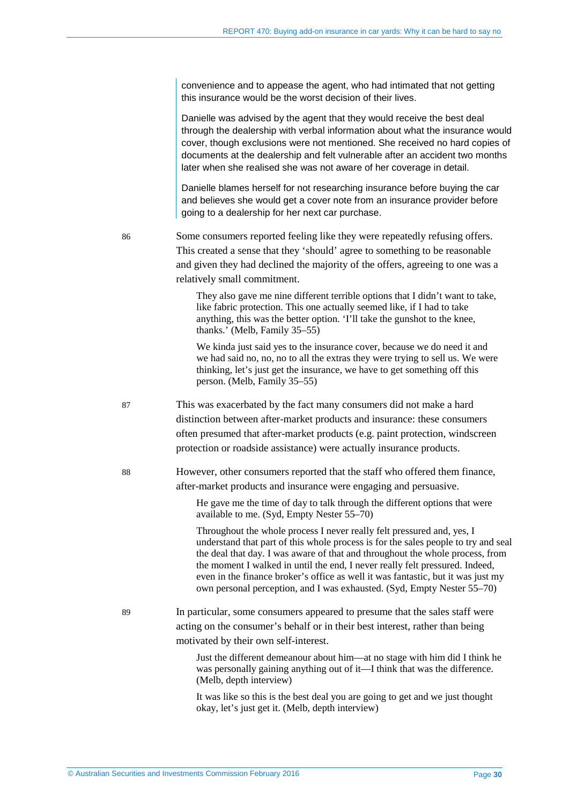convenience and to appease the agent, who had intimated that not getting this insurance would be the worst decision of their lives.

Danielle was advised by the agent that they would receive the best deal through the dealership with verbal information about what the insurance would cover, though exclusions were not mentioned. She received no hard copies of documents at the dealership and felt vulnerable after an accident two months later when she realised she was not aware of her coverage in detail.

Danielle blames herself for not researching insurance before buying the car and believes she would get a cover note from an insurance provider before going to a dealership for her next car purchase.

86 Some consumers reported feeling like they were repeatedly refusing offers. This created a sense that they 'should' agree to something to be reasonable and given they had declined the majority of the offers, agreeing to one was a relatively small commitment.

> They also gave me nine different terrible options that I didn't want to take, like fabric protection. This one actually seemed like, if I had to take anything, this was the better option. 'I'll take the gunshot to the knee, thanks.' (Melb, Family 35–55)

> We kinda just said yes to the insurance cover, because we do need it and we had said no, no, no to all the extras they were trying to sell us. We were thinking, let's just get the insurance, we have to get something off this person. (Melb, Family 35–55)

- 87 This was exacerbated by the fact many consumers did not make a hard distinction between after-market products and insurance: these consumers often presumed that after-market products (e.g. paint protection, windscreen protection or roadside assistance) were actually insurance products.
- 88 However, other consumers reported that the staff who offered them finance, after-market products and insurance were engaging and persuasive.

He gave me the time of day to talk through the different options that were available to me. (Syd, Empty Nester 55–70)

Throughout the whole process I never really felt pressured and, yes, I understand that part of this whole process is for the sales people to try and seal the deal that day. I was aware of that and throughout the whole process, from the moment I walked in until the end, I never really felt pressured. Indeed, even in the finance broker's office as well it was fantastic, but it was just my own personal perception, and I was exhausted. (Syd, Empty Nester 55–70)

89 In particular, some consumers appeared to presume that the sales staff were acting on the consumer's behalf or in their best interest, rather than being motivated by their own self-interest.

> Just the different demeanour about him—at no stage with him did I think he was personally gaining anything out of it—I think that was the difference. (Melb, depth interview)

It was like so this is the best deal you are going to get and we just thought okay, let's just get it. (Melb, depth interview)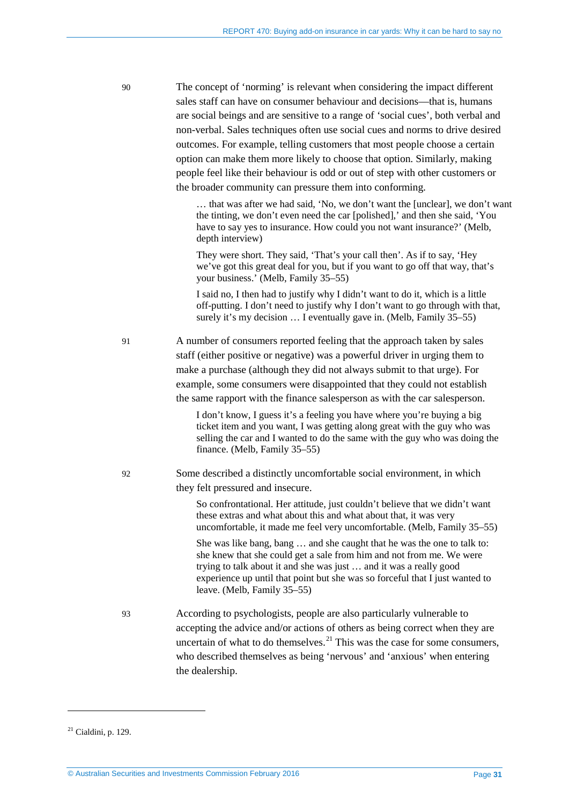| 90 | The concept of 'norming' is relevant when considering the impact different       |
|----|----------------------------------------------------------------------------------|
|    | sales staff can have on consumer behaviour and decisions—that is, humans         |
|    | are social beings and are sensitive to a range of 'social cues', both verbal and |
|    | non-verbal. Sales techniques often use social cues and norms to drive desired    |
|    | outcomes. For example, telling customers that most people choose a certain       |
|    | option can make them more likely to choose that option. Similarly, making        |
|    | people feel like their behaviour is odd or out of step with other customers or   |
|    | the broader community can pressure them into conforming.                         |

… that was after we had said, 'No, we don't want the [unclear], we don't want the tinting, we don't even need the car [polished],' and then she said, 'You have to say yes to insurance. How could you not want insurance?' (Melb, depth interview)

They were short. They said, 'That's your call then'. As if to say, 'Hey we've got this great deal for you, but if you want to go off that way, that's your business.' (Melb, Family 35–55)

I said no, I then had to justify why I didn't want to do it, which is a little off-putting. I don't need to justify why I don't want to go through with that, surely it's my decision ... I eventually gave in. (Melb, Family 35–55)

91 A number of consumers reported feeling that the approach taken by sales staff (either positive or negative) was a powerful driver in urging them to make a purchase (although they did not always submit to that urge). For example, some consumers were disappointed that they could not establish the same rapport with the finance salesperson as with the car salesperson.

> I don't know, I guess it's a feeling you have where you're buying a big ticket item and you want, I was getting along great with the guy who was selling the car and I wanted to do the same with the guy who was doing the finance. (Melb, Family 35–55)

92 Some described a distinctly uncomfortable social environment, in which they felt pressured and insecure.

> So confrontational. Her attitude, just couldn't believe that we didn't want these extras and what about this and what about that, it was very uncomfortable, it made me feel very uncomfortable. (Melb, Family 35–55)

She was like bang, bang … and she caught that he was the one to talk to: she knew that she could get a sale from him and not from me. We were trying to talk about it and she was just … and it was a really good experience up until that point but she was so forceful that I just wanted to leave. (Melb, Family 35–55)

93 According to psychologists, people are also particularly vulnerable to accepting the advice and/or actions of others as being correct when they are uncertain of what to do themselves. $^{21}$  $^{21}$  $^{21}$  This was the case for some consumers, who described themselves as being 'nervous' and 'anxious' when entering the dealership.

<u>.</u>

<span id="page-30-0"></span><sup>21</sup> Cialdini, p. 129.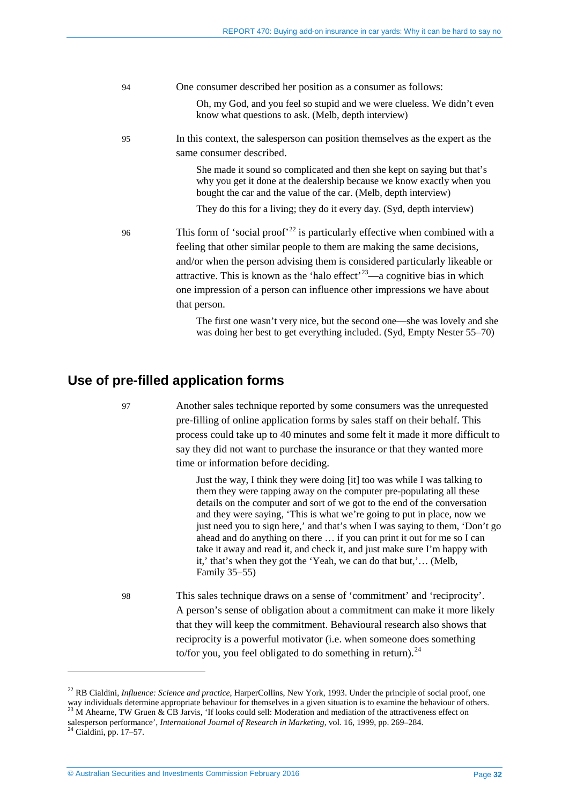| 94 | One consumer described her position as a consumer as follows:                                                                                                                                                                                                                                                                                                                                                                              |
|----|--------------------------------------------------------------------------------------------------------------------------------------------------------------------------------------------------------------------------------------------------------------------------------------------------------------------------------------------------------------------------------------------------------------------------------------------|
|    | Oh, my God, and you feel so stupid and we were clueless. We didn't even<br>know what questions to ask. (Melb, depth interview)                                                                                                                                                                                                                                                                                                             |
| 95 | In this context, the salesperson can position themselves as the expert as the<br>same consumer described.                                                                                                                                                                                                                                                                                                                                  |
|    | She made it sound so complicated and then she kept on saying but that's<br>why you get it done at the dealership because we know exactly when you<br>bought the car and the value of the car. (Melb, depth interview)                                                                                                                                                                                                                      |
|    | They do this for a living; they do it every day. (Syd, depth interview)                                                                                                                                                                                                                                                                                                                                                                    |
| 96 | This form of 'social proof' <sup>22</sup> is particularly effective when combined with a<br>feeling that other similar people to them are making the same decisions,<br>and/or when the person advising them is considered particularly likeable or<br>attractive. This is known as the 'halo effect' <sup>23</sup> —a cognitive bias in which<br>one impression of a person can influence other impressions we have about<br>that person. |
|    | The first one wasn't very nice, but the second one—she was lovely and she                                                                                                                                                                                                                                                                                                                                                                  |

# <span id="page-31-0"></span>**Use of pre-filled application forms**

97 Another sales technique reported by some consumers was the unrequested pre-filling of online application forms by sales staff on their behalf. This process could take up to 40 minutes and some felt it made it more difficult to say they did not want to purchase the insurance or that they wanted more time or information before deciding.

was doing her best to get everything included. (Syd, Empty Nester 55–70)

Just the way, I think they were doing [it] too was while I was talking to them they were tapping away on the computer pre-populating all these details on the computer and sort of we got to the end of the conversation and they were saying, 'This is what we're going to put in place, now we just need you to sign here,' and that's when I was saying to them, 'Don't go ahead and do anything on there … if you can print it out for me so I can take it away and read it, and check it, and just make sure I'm happy with it,' that's when they got the 'Yeah, we can do that but,'… (Melb, Family 35–55)

98 This sales technique draws on a sense of 'commitment' and 'reciprocity'. A person's sense of obligation about a commitment can make it more likely that they will keep the commitment. Behavioural research also shows that reciprocity is a powerful motivator (i.e. when someone does something to/for you, you feel obligated to do something in return). $^{24}$  $^{24}$  $^{24}$ 

<span id="page-31-1"></span><sup>&</sup>lt;sup>22</sup> RB Cialdini, *Influence: Science and practice*, HarperCollins, New York, 1993. Under the principle of social proof, one way individuals determine appropriate behaviour for themselves in a given situation is to examine <sup>23</sup> M Ahearne, TW Gruen  $\&$  CB Jarvis, 'If looks could sell: Moderation and mediation of the attractiveness effect on

<span id="page-31-2"></span>salesperson performance', *International Journal of Research in Marketing*, vol. 16, 1999, pp. 269–284. <sup>24</sup> Cialdini, pp. 17–57.

<span id="page-31-3"></span>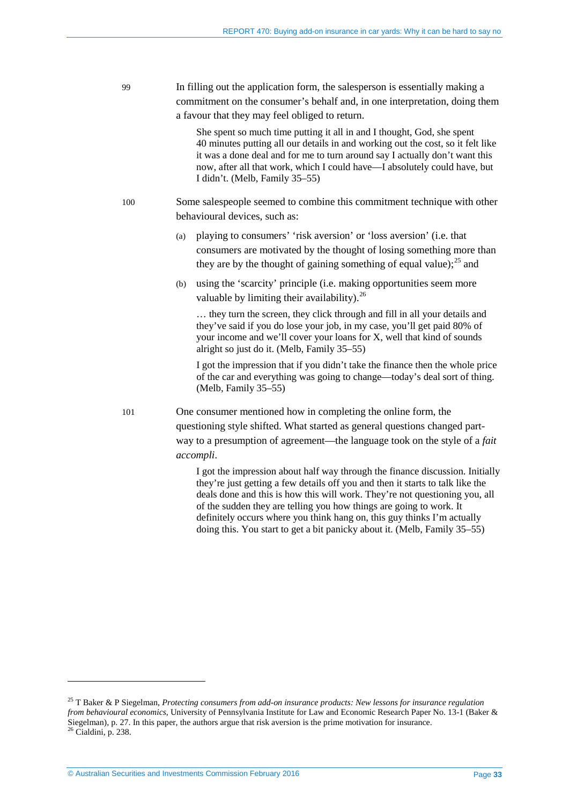99 In filling out the application form, the salesperson is essentially making a commitment on the consumer's behalf and, in one interpretation, doing them a favour that they may feel obliged to return.

> She spent so much time putting it all in and I thought, God, she spent 40 minutes putting all our details in and working out the cost, so it felt like it was a done deal and for me to turn around say I actually don't want this now, after all that work, which I could have—I absolutely could have, but I didn't. (Melb, Family 35–55)

- 100 Some salespeople seemed to combine this commitment technique with other behavioural devices, such as:
	- (a) playing to consumers' 'risk aversion' or 'loss aversion' (i.e. that consumers are motivated by the thought of losing something more than they are by the thought of gaining something of equal value):  $^{25}$  $^{25}$  $^{25}$  and
	- (b) using the 'scarcity' principle (i.e. making opportunities seem more valuable by limiting their availability).  $^{26}$  $^{26}$  $^{26}$

… they turn the screen, they click through and fill in all your details and they've said if you do lose your job, in my case, you'll get paid 80% of your income and we'll cover your loans for X, well that kind of sounds alright so just do it. (Melb, Family 35–55)

I got the impression that if you didn't take the finance then the whole price of the car and everything was going to change—today's deal sort of thing. (Melb, Family 35–55)

101 One consumer mentioned how in completing the online form, the questioning style shifted. What started as general questions changed partway to a presumption of agreement—the language took on the style of a *fait accompli*.

> I got the impression about half way through the finance discussion. Initially they're just getting a few details off you and then it starts to talk like the deals done and this is how this will work. They're not questioning you, all of the sudden they are telling you how things are going to work. It definitely occurs where you think hang on, this guy thinks I'm actually doing this. You start to get a bit panicky about it. (Melb, Family 35–55)

<span id="page-32-1"></span><span id="page-32-0"></span><sup>25</sup> T Baker & P Siegelman, *Protecting consumers from add-on insurance products: New lessons for insurance regulation from behavioural economics*, University of Pennsylvania Institute for Law and Economic Research Paper No. 13-1 (Baker & Siegelman), p. 27. In this paper, the authors argue that risk aversion is the prime motivation for insurance.<br><sup>26</sup> Cialdini, p. 238.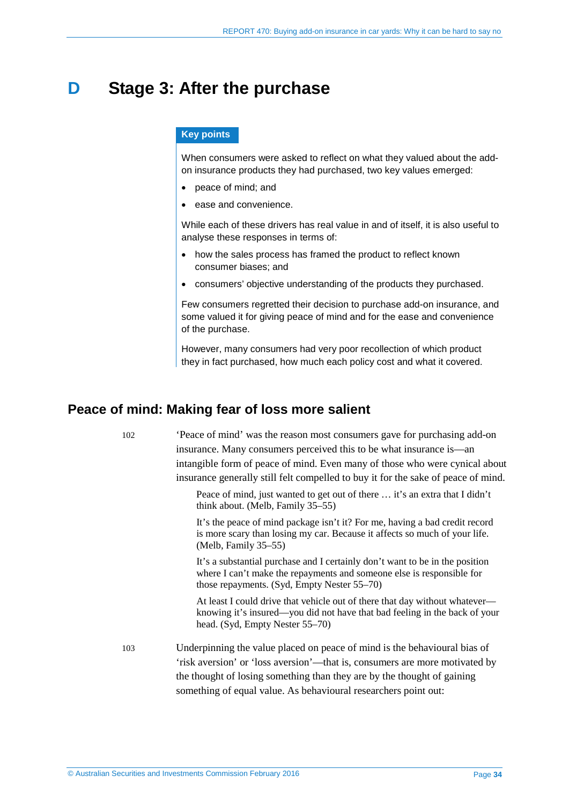# <span id="page-33-0"></span>**D Stage 3: After the purchase**

### **Key points**

When consumers were asked to reflect on what they valued about the addon insurance products they had purchased, two key values emerged:

- peace of mind; and
- ease and convenience.

While each of these drivers has real value in and of itself, it is also useful to analyse these responses in terms of:

- how the sales process has framed the product to reflect known consumer biases; and
- consumers' objective understanding of the products they purchased.

Few consumers regretted their decision to purchase add-on insurance, and some valued it for giving peace of mind and for the ease and convenience of the purchase.

However, many consumers had very poor recollection of which product they in fact purchased, how much each policy cost and what it covered.

# <span id="page-33-1"></span>**Peace of mind: Making fear of loss more salient**

102 'Peace of mind' was the reason most consumers gave for purchasing add-on insurance. Many consumers perceived this to be what insurance is—an intangible form of peace of mind. Even many of those who were cynical about insurance generally still felt compelled to buy it for the sake of peace of mind.

> Peace of mind, just wanted to get out of there … it's an extra that I didn't think about. (Melb, Family 35–55)

> It's the peace of mind package isn't it? For me, having a bad credit record is more scary than losing my car. Because it affects so much of your life. (Melb, Family 35–55)

It's a substantial purchase and I certainly don't want to be in the position where I can't make the repayments and someone else is responsible for those repayments. (Syd, Empty Nester 55–70)

At least I could drive that vehicle out of there that day without whatever knowing it's insured—you did not have that bad feeling in the back of your head. (Syd, Empty Nester 55–70)

103 Underpinning the value placed on peace of mind is the behavioural bias of 'risk aversion' or 'loss aversion'—that is, consumers are more motivated by the thought of losing something than they are by the thought of gaining something of equal value. As behavioural researchers point out: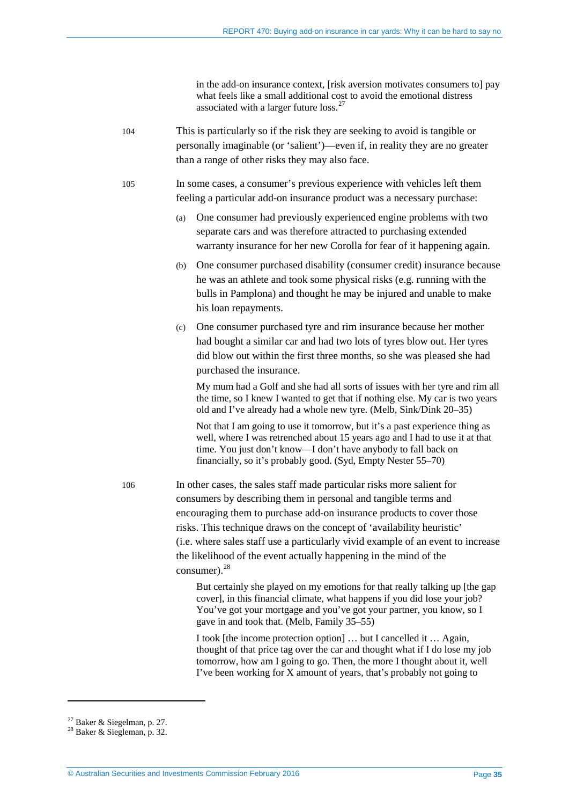in the add-on insurance context, [risk aversion motivates consumers to] pay what feels like a small additional cost to avoid the emotional distress associated with a larger future loss.[27](#page-34-0)

104 This is particularly so if the risk they are seeking to avoid is tangible or personally imaginable (or 'salient')—even if, in reality they are no greater than a range of other risks they may also face.

105 In some cases, a consumer's previous experience with vehicles left them feeling a particular add-on insurance product was a necessary purchase:

- (a) One consumer had previously experienced engine problems with two separate cars and was therefore attracted to purchasing extended warranty insurance for her new Corolla for fear of it happening again.
- (b) One consumer purchased disability (consumer credit) insurance because he was an athlete and took some physical risks (e.g. running with the bulls in Pamplona) and thought he may be injured and unable to make his loan repayments.
- (c) One consumer purchased tyre and rim insurance because her mother had bought a similar car and had two lots of tyres blow out. Her tyres did blow out within the first three months, so she was pleased she had purchased the insurance.

My mum had a Golf and she had all sorts of issues with her tyre and rim all the time, so I knew I wanted to get that if nothing else. My car is two years old and I've already had a whole new tyre. (Melb, Sink/Dink 20–35)

Not that I am going to use it tomorrow, but it's a past experience thing as well, where I was retrenched about 15 years ago and I had to use it at that time. You just don't know—I don't have anybody to fall back on financially, so it's probably good. (Syd, Empty Nester 55–70)

106 In other cases, the sales staff made particular risks more salient for consumers by describing them in personal and tangible terms and encouraging them to purchase add-on insurance products to cover those risks. This technique draws on the concept of 'availability heuristic' (i.e. where sales staff use a particularly vivid example of an event to increase the likelihood of the event actually happening in the mind of the consumer). [28](#page-34-1)

> But certainly she played on my emotions for that really talking up [the gap cover], in this financial climate, what happens if you did lose your job? You've got your mortgage and you've got your partner, you know, so I gave in and took that. (Melb, Family 35–55)

I took [the income protection option] … but I cancelled it … Again, thought of that price tag over the car and thought what if I do lose my job tomorrow, how am I going to go. Then, the more I thought about it, well I've been working for X amount of years, that's probably not going to

<span id="page-34-1"></span><span id="page-34-0"></span><sup>&</sup>lt;sup>27</sup> Baker & Siegelman, p. 27.<br><sup>28</sup> Baker & Siegleman, p. 32.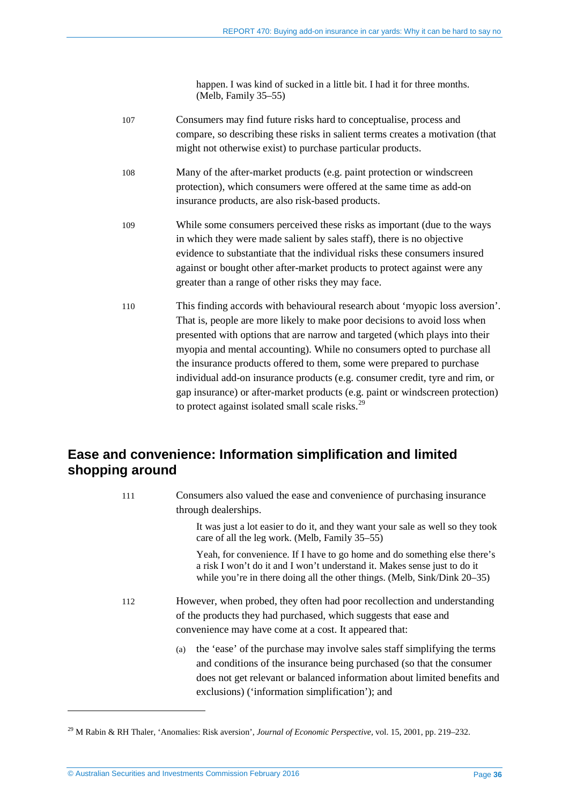happen. I was kind of sucked in a little bit. I had it for three months. (Melb, Family 35–55)

107 Consumers may find future risks hard to conceptualise, process and compare, so describing these risks in salient terms creates a motivation (that might not otherwise exist) to purchase particular products. 108 Many of the after-market products (e.g. paint protection or windscreen protection), which consumers were offered at the same time as add-on insurance products, are also risk-based products. 109 While some consumers perceived these risks as important (due to the ways in which they were made salient by sales staff), there is no objective evidence to substantiate that the individual risks these consumers insured against or bought other after-market products to protect against were any greater than a range of other risks they may face. 110 This finding accords with behavioural research about 'myopic loss aversion'. That is, people are more likely to make poor decisions to avoid loss when presented with options that are narrow and targeted (which plays into their myopia and mental accounting). While no consumers opted to purchase all the insurance products offered to them, some were prepared to purchase individual add-on insurance products (e.g. consumer credit, tyre and rim, or gap insurance) or after-market products (e.g. paint or windscreen protection) to protect against isolated small scale risks.<sup>[29](#page-35-1)</sup>

# <span id="page-35-0"></span>**Ease and convenience: Information simplification and limited shopping around**

111 Consumers also valued the ease and convenience of purchasing insurance through dealerships. It was just a lot easier to do it, and they want your sale as well so they took care of all the leg work. (Melb, Family 35–55) Yeah, for convenience. If I have to go home and do something else there's a risk I won't do it and I won't understand it. Makes sense just to do it while you're in there doing all the other things. (Melb, Sink/Dink 20–35) 112 However, when probed, they often had poor recollection and understanding of the products they had purchased, which suggests that ease and convenience may have come at a cost. It appeared that: (a) the 'ease' of the purchase may involve sales staff simplifying the terms and conditions of the insurance being purchased (so that the consumer does not get relevant or balanced information about limited benefits and exclusions) ('information simplification'); and

<u>.</u>

<span id="page-35-1"></span><sup>29</sup> M Rabin & RH Thaler, 'Anomalies: Risk aversion', *Journal of Economic Perspective,* vol. 15, 2001, pp. 219–232.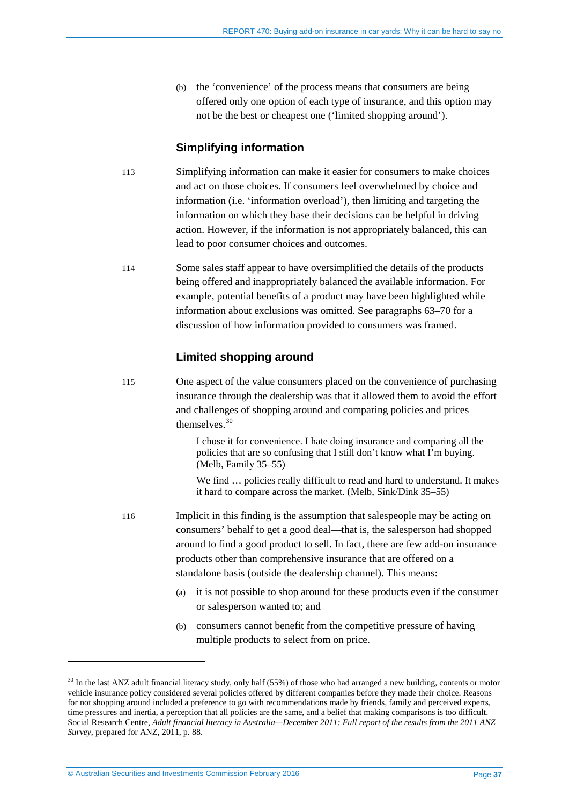(b) the 'convenience' of the process means that consumers are being offered only one option of each type of insurance, and this option may not be the best or cheapest one ('limited shopping around').

### **Simplifying information**

- 113 Simplifying information can make it easier for consumers to make choices and act on those choices. If consumers feel overwhelmed by choice and information (i.e. 'information overload'), then limiting and targeting the information on which they base their decisions can be helpful in driving action. However, if the information is not appropriately balanced, this can lead to poor consumer choices and outcomes.
- 114 Some sales staff appear to have oversimplified the details of the products being offered and inappropriately balanced the available information. For example, potential benefits of a product may have been highlighted while information about exclusions was omitted. See paragraphs [63](#page-23-1)[–70](#page-24-0) for a discussion of how information provided to consumers was framed.

### **Limited shopping around**

115 One aspect of the value consumers placed on the convenience of purchasing insurance through the dealership was that it allowed them to avoid the effort and challenges of shopping around and comparing policies and prices themselves.<sup>[30](#page-36-0)</sup>

> I chose it for convenience. I hate doing insurance and comparing all the policies that are so confusing that I still don't know what I'm buying. (Melb, Family 35–55)

We find ... policies really difficult to read and hard to understand. It makes it hard to compare across the market. (Melb, Sink/Dink 35–55)

- 116 Implicit in this finding is the assumption that salespeople may be acting on consumers' behalf to get a good deal—that is, the salesperson had shopped around to find a good product to sell. In fact, there are few add-on insurance products other than comprehensive insurance that are offered on a standalone basis (outside the dealership channel). This means:
	- (a) it is not possible to shop around for these products even if the consumer or salesperson wanted to; and
	- (b) consumers cannot benefit from the competitive pressure of having multiple products to select from on price.

<u>.</u>

<span id="page-36-0"></span><sup>&</sup>lt;sup>30</sup> In the last ANZ adult financial literacy study, only half (55%) of those who had arranged a new building, contents or motor vehicle insurance policy considered several policies offered by different companies before they made their choice. Reasons for not shopping around included a preference to go with recommendations made by friends, family and perceived experts, time pressures and inertia, a perception that all policies are the same, and a belief that making comparisons is too difficult. Social Research Centre, *Adult financial literacy in Australia—December 2011: Full report of the results from the 2011 ANZ Survey*, prepared for ANZ, 2011, p. 88.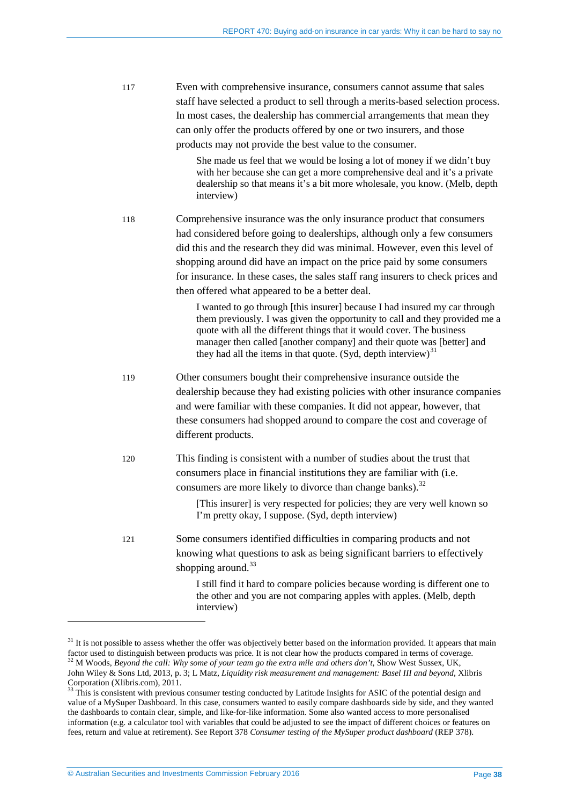| 117 | Even with comprehensive insurance, consumers cannot assume that sales           |
|-----|---------------------------------------------------------------------------------|
|     | staff have selected a product to sell through a merits-based selection process. |
|     | In most cases, the dealership has commercial arrangements that mean they        |
|     | can only offer the products offered by one or two insurers, and those           |
|     | products may not provide the best value to the consumer.                        |

She made us feel that we would be losing a lot of money if we didn't buy with her because she can get a more comprehensive deal and it's a private dealership so that means it's a bit more wholesale, you know. (Melb, depth interview)

118 Comprehensive insurance was the only insurance product that consumers had considered before going to dealerships, although only a few consumers did this and the research they did was minimal. However, even this level of shopping around did have an impact on the price paid by some consumers for insurance. In these cases, the sales staff rang insurers to check prices and then offered what appeared to be a better deal.

> I wanted to go through [this insurer] because I had insured my car through them previously. I was given the opportunity to call and they provided me a quote with all the different things that it would cover. The business manager then called [another company] and their quote was [better] and they had all the items in that quote. (Syd, depth interview)<sup>[31](#page-37-0)</sup>

119 Other consumers bought their comprehensive insurance outside the dealership because they had existing policies with other insurance companies and were familiar with these companies. It did not appear, however, that these consumers had shopped around to compare the cost and coverage of different products.

120 This finding is consistent with a number of studies about the trust that consumers place in financial institutions they are familiar with (i.e. consumers are more likely to divorce than change banks). $32$ 

> [This insurer] is very respected for policies; they are very well known so I'm pretty okay, I suppose. (Syd, depth interview)

121 Some consumers identified difficulties in comparing products and not knowing what questions to ask as being significant barriers to effectively shopping around. $33$ 

> I still find it hard to compare policies because wording is different one to the other and you are not comparing apples with apples. (Melb, depth interview)

<span id="page-37-1"></span><span id="page-37-0"></span> $31$  It is not possible to assess whether the offer was objectively better based on the information provided. It appears that main factor used to distinguish between products was price. It is not clear how the products co <sup>32</sup> M Woods, Beyond the call: Why some of your team go the extra mile and others don't, Show West Sussex, UK, John Wiley & Sons Ltd, 2013, p. 3; L Matz, *Liquidity risk measurement and management: Basel III and beyond*, Xlibris Corporation (Xlibris.com), 2011.<br><sup>33</sup> This is consistent with previous consumer testing conducted by Latitude Insights for ASIC of the potential design and

<span id="page-37-2"></span>value of a MySuper Dashboard. In this case, consumers wanted to easily compare dashboards side by side, and they wanted the dashboards to contain clear, simple, and like-for-like information. Some also wanted access to more personalised information (e.g. a calculator tool with variables that could be adjusted to see the impact of different choices or features on fees, return and value at retirement). See Report 378 *Consumer testing of the MySuper product dashboard* (REP 378).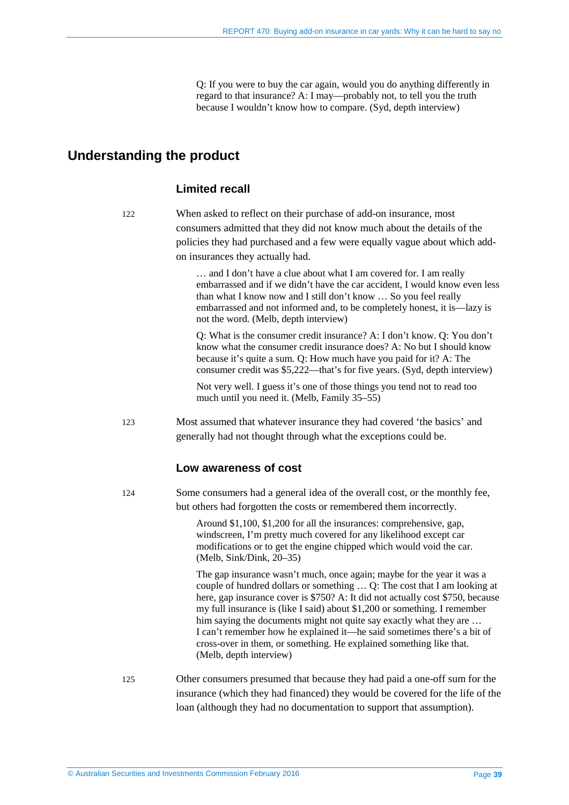Q: If you were to buy the car again, would you do anything differently in regard to that insurance? A: I may—probably not, to tell you the truth because I wouldn't know how to compare. (Syd, depth interview)

# <span id="page-38-0"></span>**Understanding the product**

### **Limited recall**

122 When asked to reflect on their purchase of add-on insurance, most consumers admitted that they did not know much about the details of the policies they had purchased and a few were equally vague about which addon insurances they actually had.

> … and I don't have a clue about what I am covered for. I am really embarrassed and if we didn't have the car accident, I would know even less than what I know now and I still don't know … So you feel really embarrassed and not informed and, to be completely honest, it is—lazy is not the word. (Melb, depth interview)

Q: What is the consumer credit insurance? A: I don't know. Q: You don't know what the consumer credit insurance does? A: No but I should know because it's quite a sum. Q: How much have you paid for it? A: The consumer credit was \$5,222—that's for five years. (Syd, depth interview)

Not very well. I guess it's one of those things you tend not to read too much until you need it. (Melb, Family 35–55)

123 Most assumed that whatever insurance they had covered 'the basics' and generally had not thought through what the exceptions could be.

### **Low awareness of cost**

124 Some consumers had a general idea of the overall cost, or the monthly fee, but others had forgotten the costs or remembered them incorrectly.

> Around \$1,100, \$1,200 for all the insurances: comprehensive, gap, windscreen, I'm pretty much covered for any likelihood except car modifications or to get the engine chipped which would void the car. (Melb, Sink/Dink, 20–35)

The gap insurance wasn't much, once again; maybe for the year it was a couple of hundred dollars or something … Q: The cost that I am looking at here, gap insurance cover is \$750? A: It did not actually cost \$750, because my full insurance is (like I said) about \$1,200 or something. I remember him saying the documents might not quite say exactly what they are ... I can't remember how he explained it—he said sometimes there's a bit of cross-over in them, or something. He explained something like that. (Melb, depth interview)

125 Other consumers presumed that because they had paid a one-off sum for the insurance (which they had financed) they would be covered for the life of the loan (although they had no documentation to support that assumption).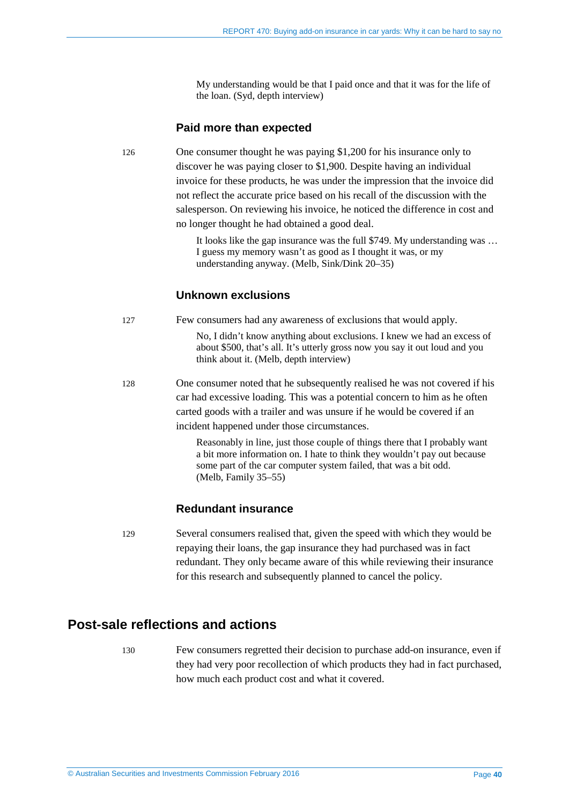My understanding would be that I paid once and that it was for the life of the loan. (Syd, depth interview)

### **Paid more than expected**

126 One consumer thought he was paying \$1,200 for his insurance only to discover he was paying closer to \$1,900. Despite having an individual invoice for these products, he was under the impression that the invoice did not reflect the accurate price based on his recall of the discussion with the salesperson. On reviewing his invoice, he noticed the difference in cost and no longer thought he had obtained a good deal.

> It looks like the gap insurance was the full \$749. My understanding was … I guess my memory wasn't as good as I thought it was, or my understanding anyway. (Melb, Sink/Dink 20–35)

### **Unknown exclusions**

<span id="page-39-1"></span>127 Few consumers had any awareness of exclusions that would apply.

No, I didn't know anything about exclusions. I knew we had an excess of about \$500, that's all. It's utterly gross now you say it out loud and you think about it. (Melb, depth interview)

<span id="page-39-2"></span>128 One consumer noted that he subsequently realised he was not covered if his car had excessive loading. This was a potential concern to him as he often carted goods with a trailer and was unsure if he would be covered if an incident happened under those circumstances.

> Reasonably in line, just those couple of things there that I probably want a bit more information on. I hate to think they wouldn't pay out because some part of the car computer system failed, that was a bit odd. (Melb, Family 35–55)

### **Redundant insurance**

129 Several consumers realised that, given the speed with which they would be repaying their loans, the gap insurance they had purchased was in fact redundant. They only became aware of this while reviewing their insurance for this research and subsequently planned to cancel the policy.

# <span id="page-39-0"></span>**Post-sale reflections and actions**

130 Few consumers regretted their decision to purchase add-on insurance, even if they had very poor recollection of which products they had in fact purchased, how much each product cost and what it covered.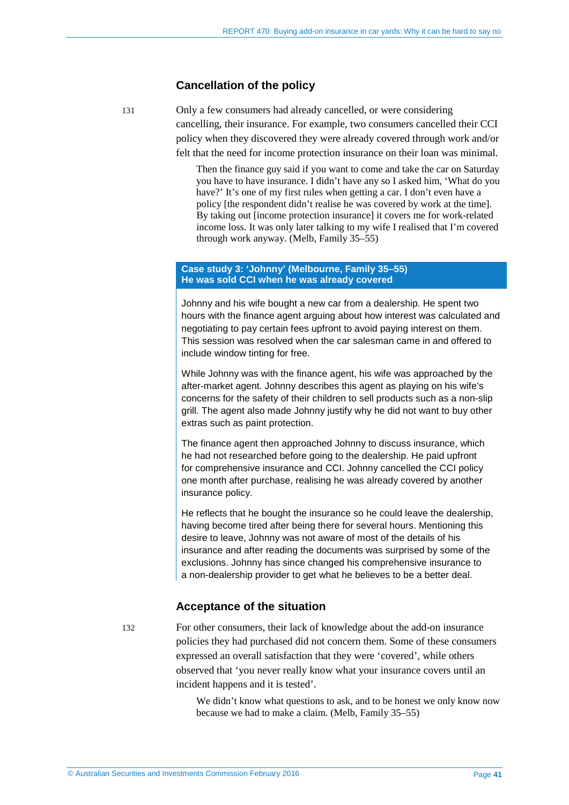#### **Cancellation of the policy**

131 Only a few consumers had already cancelled, or were considering cancelling, their insurance. For example, two consumers cancelled their CCI policy when they discovered they were already covered through work and/or felt that the need for income protection insurance on their loan was minimal.

> Then the finance guy said if you want to come and take the car on Saturday you have to have insurance. I didn't have any so I asked him, 'What do you have?' It's one of my first rules when getting a car. I don't even have a policy [the respondent didn't realise he was covered by work at the time]. By taking out [income protection insurance] it covers me for work-related income loss. It was only later talking to my wife I realised that I'm covered through work anyway. (Melb, Family 35–55)

#### **Case study 3: 'Johnny' (Melbourne, Family 35–55) He was sold CCI when he was already covered**

Johnny and his wife bought a new car from a dealership. He spent two hours with the finance agent arguing about how interest was calculated and negotiating to pay certain fees upfront to avoid paying interest on them. This session was resolved when the car salesman came in and offered to include window tinting for free.

While Johnny was with the finance agent, his wife was approached by the after-market agent. Johnny describes this agent as playing on his wife's concerns for the safety of their children to sell products such as a non-slip grill. The agent also made Johnny justify why he did not want to buy other extras such as paint protection.

The finance agent then approached Johnny to discuss insurance, which he had not researched before going to the dealership. He paid upfront for comprehensive insurance and CCI. Johnny cancelled the CCI policy one month after purchase, realising he was already covered by another insurance policy.

He reflects that he bought the insurance so he could leave the dealership, having become tired after being there for several hours. Mentioning this desire to leave, Johnny was not aware of most of the details of his insurance and after reading the documents was surprised by some of the exclusions. Johnny has since changed his comprehensive insurance to a non-dealership provider to get what he believes to be a better deal.

### **Acceptance of the situation**

132 For other consumers, their lack of knowledge about the add-on insurance policies they had purchased did not concern them. Some of these consumers expressed an overall satisfaction that they were 'covered', while others observed that 'you never really know what your insurance covers until an incident happens and it is tested'.

> We didn't know what questions to ask, and to be honest we only know now because we had to make a claim. (Melb, Family 35–55)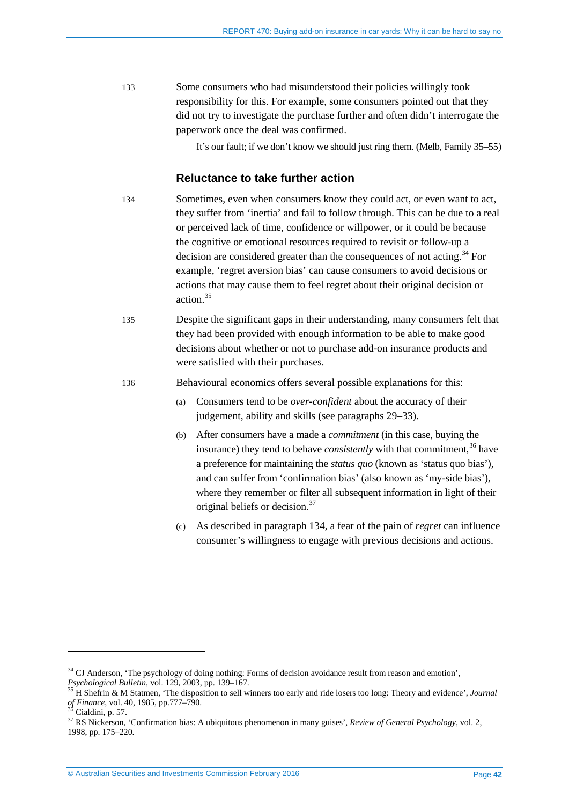133 Some consumers who had misunderstood their policies willingly took responsibility for this. For example, some consumers pointed out that they did not try to investigate the purchase further and often didn't interrogate the paperwork once the deal was confirmed.

It's our fault; if we don't know we should just ring them. (Melb, Family 35–55)

### **Reluctance to take further action**

<span id="page-41-0"></span>134 Sometimes, even when consumers know they could act, or even want to act, they suffer from 'inertia' and fail to follow through. This can be due to a real or perceived lack of time, confidence or willpower, or it could be because the cognitive or emotional resources required to revisit or follow-up a decision are considered greater than the consequences of not acting.<sup>[34](#page-41-1)</sup> For example, 'regret aversion bias' can cause consumers to avoid decisions or actions that may cause them to feel regret about their original decision or action<sup>[35](#page-41-2)</sup>

135 Despite the significant gaps in their understanding, many consumers felt that they had been provided with enough information to be able to make good decisions about whether or not to purchase add-on insurance products and were satisfied with their purchases.

136 Behavioural economics offers several possible explanations for this:

- (a) Consumers tend to be *over-confident* about the accuracy of their judgement, ability and skills (see paragraphs [29–](#page-15-2)[33\)](#page-16-2).
- (b) After consumers have a made a *commitment* (in this case, buying the insurance) they tend to behave *consistently* with that commitment, [36](#page-41-3) have a preference for maintaining the *status quo* (known as 'status quo bias'), and can suffer from 'confirmation bias' (also known as 'my-side bias'), where they remember or filter all subsequent information in light of their original beliefs or decision. [37](#page-41-4)
- (c) As described in paragraph [134,](#page-41-0) a fear of the pain of *regret* can influence consumer's willingness to engage with previous decisions and actions.

<sup>34</sup> CJ Anderson, 'The psychology of doing nothing: Forms of decision avoidance result from reason and emotion',

<span id="page-41-2"></span><span id="page-41-1"></span>*Psychological Bulletin*, vol. 129, 2003, pp. 139–167.<br><sup>35</sup> H Shefrin & M Statmen, 'The disposition to sell winners too early and ride losers too long: Theory and evidence', *Journal* of *Finance*, vol. 40, 1985, pp.777–79

<span id="page-41-3"></span>

<span id="page-41-4"></span><sup>&</sup>lt;sup>37</sup> RS Nickerson, 'Confirmation bias: A ubiquitous phenomenon in many guises', *Review of General Psychology*, vol. 2, 1998, pp. 175–220.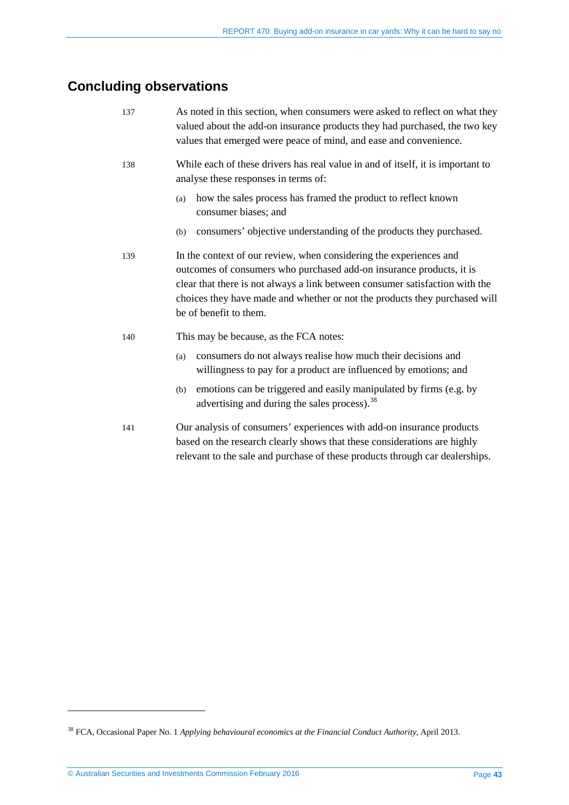# <span id="page-42-0"></span>**Concluding observations**

| 137 | As noted in this section, when consumers were asked to reflect on what they<br>valued about the add-on insurance products they had purchased, the two key<br>values that emerged were peace of mind, and ease and convenience.                                                                                                     |
|-----|------------------------------------------------------------------------------------------------------------------------------------------------------------------------------------------------------------------------------------------------------------------------------------------------------------------------------------|
| 138 | While each of these drivers has real value in and of itself, it is important to<br>analyse these responses in terms of:                                                                                                                                                                                                            |
|     | how the sales process has framed the product to reflect known<br>(a)<br>consumer biases; and                                                                                                                                                                                                                                       |
|     | consumers' objective understanding of the products they purchased.<br>(b)                                                                                                                                                                                                                                                          |
| 139 | In the context of our review, when considering the experiences and<br>outcomes of consumers who purchased add-on insurance products, it is<br>clear that there is not always a link between consumer satisfaction with the<br>choices they have made and whether or not the products they purchased will<br>be of benefit to them. |
| 140 | This may be because, as the FCA notes:                                                                                                                                                                                                                                                                                             |
|     | consumers do not always realise how much their decisions and<br>(a)<br>willingness to pay for a product are influenced by emotions; and                                                                                                                                                                                            |
|     | emotions can be triggered and easily manipulated by firms (e.g. by<br>(b)<br>advertising and during the sales process). <sup>38</sup>                                                                                                                                                                                              |
| 141 | Our analysis of consumers' experiences with add-on insurance products<br>based on the research clearly shows that these considerations are highly<br>relevant to the sale and purchase of these products through car dealerships.                                                                                                  |

<u>.</u>

<span id="page-42-1"></span><sup>38</sup> FCA, Occasional Paper No. 1 *Applying behavioural economics at the Financial Conduct Authority*, April 2013.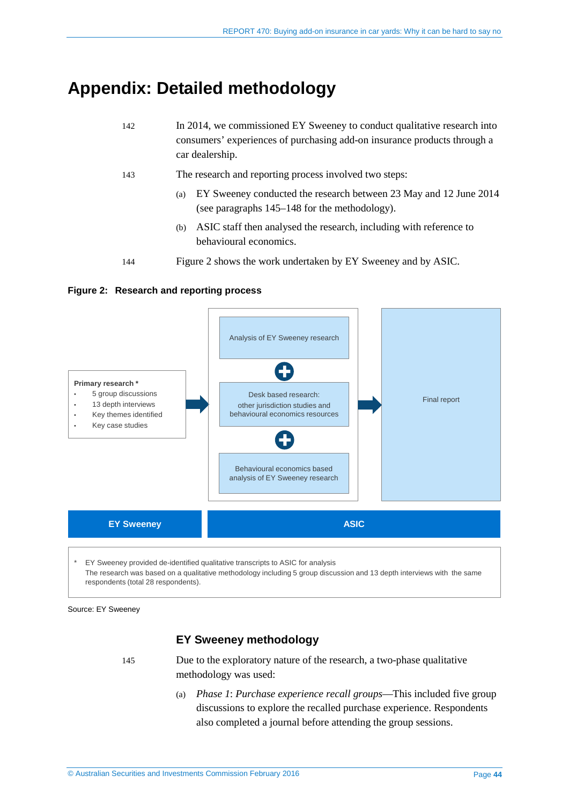# <span id="page-43-0"></span>**Appendix: Detailed methodology**

| 142 | In 2014, we commissioned EY Sweeney to conduct qualitative research into<br>consumers' experiences of purchasing add-on insurance products through a<br>car dealership. |
|-----|-------------------------------------------------------------------------------------------------------------------------------------------------------------------------|
| 143 | The research and reporting process involved two steps:                                                                                                                  |
|     | EY Sweeney conducted the research between 23 May and 12 June 2014<br>(a)<br>(see paragraphs 145–148 for the methodology).                                               |
|     |                                                                                                                                                                         |

- (b) ASIC staff then analysed the research, including with reference to behavioural economics.
- 144 [Figure 2](#page-43-2) shows the work undertaken by EY Sweeney and by ASIC.

### <span id="page-43-2"></span>**Figure 2: Research and reporting process**



EY Sweeney provided de-identified qualitative transcripts to ASIC for analysis The research was based on a qualitative methodology including 5 group discussion and 13 depth interviews with the same respondents (total 28 respondents).

<span id="page-43-1"></span>Source: EY Sweeney

# **EY Sweeney methodology**

145 Due to the exploratory nature of the research, a two-phase qualitative methodology was used:

> (a) *Phase 1*: *Purchase experience recall groups*—This included five group discussions to explore the recalled purchase experience. Respondents also completed a journal before attending the group sessions.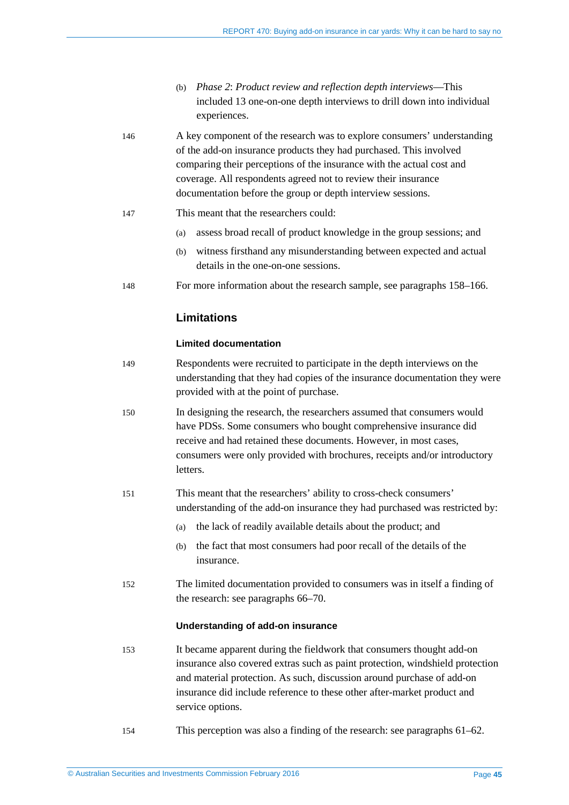- (b) *Phase 2*: *Product review and reflection depth interviews*—This included 13 one-on-one depth interviews to drill down into individual experiences.
- 146 A key component of the research was to explore consumers' understanding of the add-on insurance products they had purchased. This involved comparing their perceptions of the insurance with the actual cost and coverage. All respondents agreed not to review their insurance documentation before the group or depth interview sessions.
- 147 This meant that the researchers could:
	- (a) assess broad recall of product knowledge in the group sessions; and
	- (b) witness firsthand any misunderstanding between expected and actual details in the one-on-one sessions.
- <span id="page-44-0"></span>148 For more information about the research sample, see paragraph[s 158](#page-45-0)[–166.](#page-46-0)

### **Limitations**

#### **Limited documentation**

- 149 Respondents were recruited to participate in the depth interviews on the understanding that they had copies of the insurance documentation they were provided with at the point of purchase.
- 150 In designing the research, the researchers assumed that consumers would have PDSs. Some consumers who bought comprehensive insurance did receive and had retained these documents. However, in most cases, consumers were only provided with brochures, receipts and/or introductory letters.
- 151 This meant that the researchers' ability to cross-check consumers' understanding of the add-on insurance they had purchased was restricted by:
	- (a) the lack of readily available details about the product; and
	- (b) the fact that most consumers had poor recall of the details of the insurance.
- 152 The limited documentation provided to consumers was in itself a finding of the research: see paragraph[s 66](#page-23-2)[–70.](#page-24-0)

#### **Understanding of add-on insurance**

- 153 It became apparent during the fieldwork that consumers thought add-on insurance also covered extras such as paint protection, windshield protection and material protection. As such, discussion around purchase of add-on insurance did include reference to these other after-market product and service options.
- 154 This perception was also a finding of the research: see paragraphs [61](#page-22-1)[–62.](#page-22-2)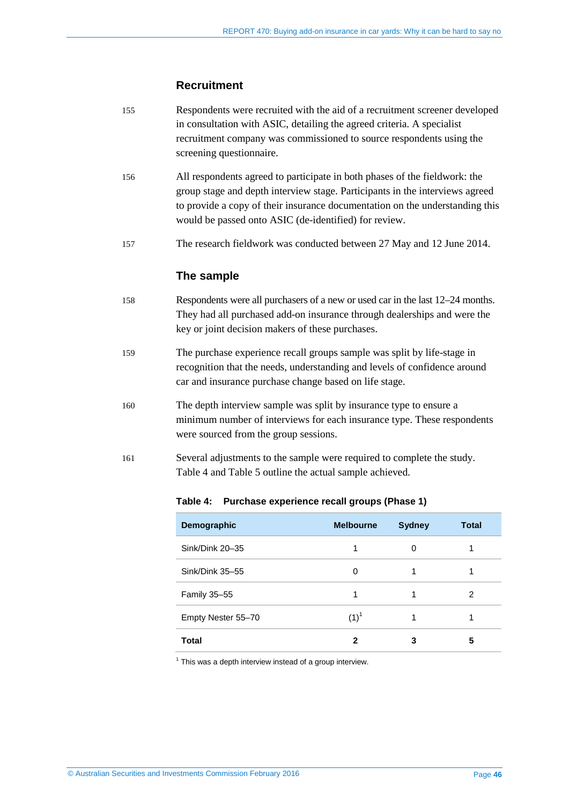### **Recruitment**

- 155 Respondents were recruited with the aid of a recruitment screener developed in consultation with ASIC, detailing the agreed criteria. A specialist recruitment company was commissioned to source respondents using the screening questionnaire.
- 156 All respondents agreed to participate in both phases of the fieldwork: the group stage and depth interview stage. Participants in the interviews agreed to provide a copy of their insurance documentation on the understanding this would be passed onto ASIC (de-identified) for review.
- 157 The research fieldwork was conducted between 27 May and 12 June 2014.

### **The sample**

- <span id="page-45-0"></span>158 Respondents were all purchasers of a new or used car in the last 12–24 months. They had all purchased add-on insurance through dealerships and were the key or joint decision makers of these purchases.
- 159 The purchase experience recall groups sample was split by life-stage in recognition that the needs, understanding and levels of confidence around car and insurance purchase change based on life stage.
- 160 The depth interview sample was split by insurance type to ensure a minimum number of interviews for each insurance type. These respondents were sourced from the group sessions.
- <span id="page-45-1"></span>161 Several adjustments to the sample were required to complete the study. [Table 4](#page-45-1) and [Table 5](#page-46-1) outline the actual sample achieved.

| Demographic        | <b>Melbourne</b> | <b>Sydney</b> | <b>Total</b> |
|--------------------|------------------|---------------|--------------|
| Sink/Dink 20-35    |                  | 0             |              |
| Sink/Dink 35-55    | 0                | 1             |              |
| Family 35-55       |                  | 1             | 2            |
| Empty Nester 55-70 | $(1)^{1}$        | 1             |              |
| Total              | 2                | 3             | 5            |

#### **Table 4: Purchase experience recall groups (Phase 1)**

 $1$  This was a depth interview instead of a group interview.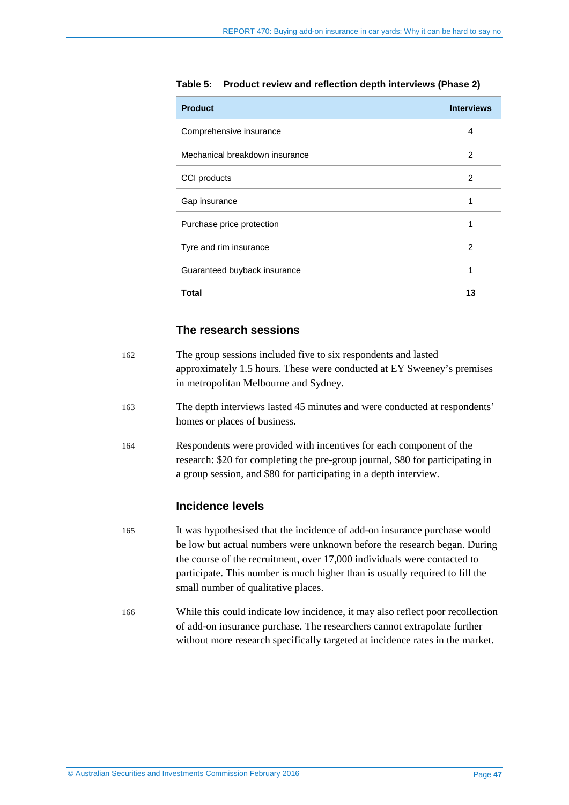| <b>Product</b>                 | <b>Interviews</b> |
|--------------------------------|-------------------|
| Comprehensive insurance        | 4                 |
| Mechanical breakdown insurance | $\mathcal{P}$     |
| CCI products                   | 2                 |
| Gap insurance                  | 1                 |
| Purchase price protection      | 1                 |
| Tyre and rim insurance         | 2                 |
| Guaranteed buyback insurance   | 1                 |
| <b>Total</b>                   | 13                |

<span id="page-46-1"></span>**Table 5: Product review and reflection depth interviews (Phase 2)**

# **The research sessions**

| 162 | The group sessions included five to six respondents and lasted<br>approximately 1.5 hours. These were conducted at EY Sweeney's premises<br>in metropolitan Melbourne and Sydney.                                                                                                                                                                        |
|-----|----------------------------------------------------------------------------------------------------------------------------------------------------------------------------------------------------------------------------------------------------------------------------------------------------------------------------------------------------------|
| 163 | The depth interviews lasted 45 minutes and were conducted at respondents'<br>homes or places of business.                                                                                                                                                                                                                                                |
| 164 | Respondents were provided with incentives for each component of the<br>research: \$20 for completing the pre-group journal, \$80 for participating in<br>a group session, and \$80 for participating in a depth interview.                                                                                                                               |
|     | <b>Incidence levels</b>                                                                                                                                                                                                                                                                                                                                  |
| 165 | It was hypothesised that the incidence of add-on insurance purchase would<br>be low but actual numbers were unknown before the research began. During<br>the course of the recruitment, over 17,000 individuals were contacted to<br>participate. This number is much higher than is usually required to fill the<br>small number of qualitative places. |
| 166 | While this could indicate low incidence, it may also reflect poor recollection<br>of add-on insurance purchase. The researchers cannot extrapolate further                                                                                                                                                                                               |

<span id="page-46-0"></span>without more research specifically targeted at incidence rates in the market.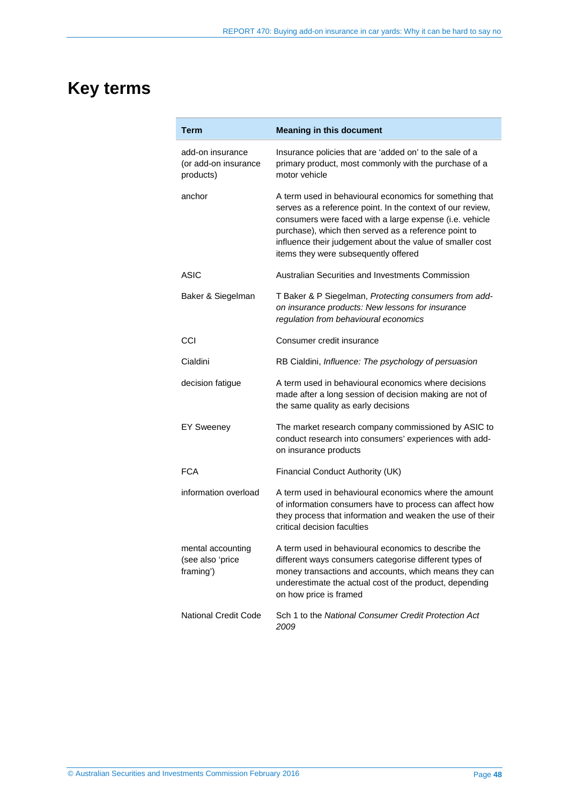# <span id="page-47-0"></span>**Key terms**

| Term                                                  | <b>Meaning in this document</b>                                                                                                                                                                                                                                                                                                               |
|-------------------------------------------------------|-----------------------------------------------------------------------------------------------------------------------------------------------------------------------------------------------------------------------------------------------------------------------------------------------------------------------------------------------|
| add-on insurance<br>(or add-on insurance<br>products) | Insurance policies that are 'added on' to the sale of a<br>primary product, most commonly with the purchase of a<br>motor vehicle                                                                                                                                                                                                             |
| anchor                                                | A term used in behavioural economics for something that<br>serves as a reference point. In the context of our review,<br>consumers were faced with a large expense (i.e. vehicle<br>purchase), which then served as a reference point to<br>influence their judgement about the value of smaller cost<br>items they were subsequently offered |
| ASIC                                                  | Australian Securities and Investments Commission                                                                                                                                                                                                                                                                                              |
| Baker & Siegelman                                     | T Baker & P Siegelman, Protecting consumers from add-<br>on insurance products: New lessons for insurance<br>regulation from behavioural economics                                                                                                                                                                                            |
| CCI                                                   | Consumer credit insurance                                                                                                                                                                                                                                                                                                                     |
| Cialdini                                              | RB Cialdini, Influence: The psychology of persuasion                                                                                                                                                                                                                                                                                          |
| decision fatigue                                      | A term used in behavioural economics where decisions<br>made after a long session of decision making are not of<br>the same quality as early decisions                                                                                                                                                                                        |
| <b>EY Sweeney</b>                                     | The market research company commissioned by ASIC to<br>conduct research into consumers' experiences with add-<br>on insurance products                                                                                                                                                                                                        |
| <b>FCA</b>                                            | Financial Conduct Authority (UK)                                                                                                                                                                                                                                                                                                              |
| information overload                                  | A term used in behavioural economics where the amount<br>of information consumers have to process can affect how<br>they process that information and weaken the use of their<br>critical decision faculties                                                                                                                                  |
| mental accounting<br>(see also 'price<br>framing')    | A term used in behavioural economics to describe the<br>different ways consumers categorise different types of<br>money transactions and accounts, which means they can<br>underestimate the actual cost of the product, depending<br>on how price is framed                                                                                  |
| <b>National Credit Code</b>                           | Sch 1 to the National Consumer Credit Protection Act<br>2009                                                                                                                                                                                                                                                                                  |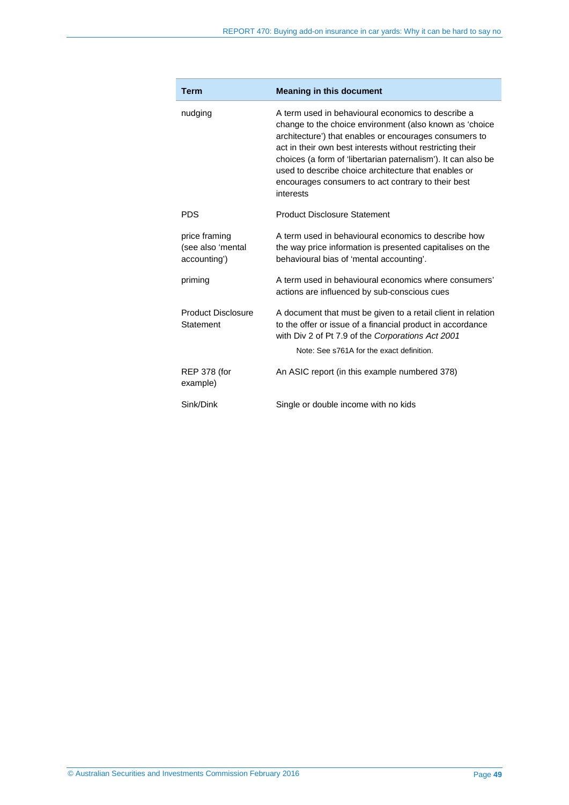| <b>Term</b>                                        | <b>Meaning in this document</b>                                                                                                                                                                                                                                                                                                                                                                                                  |
|----------------------------------------------------|----------------------------------------------------------------------------------------------------------------------------------------------------------------------------------------------------------------------------------------------------------------------------------------------------------------------------------------------------------------------------------------------------------------------------------|
| nudging                                            | A term used in behavioural economics to describe a<br>change to the choice environment (also known as 'choice<br>architecture') that enables or encourages consumers to<br>act in their own best interests without restricting their<br>choices (a form of 'libertarian paternalism'). It can also be<br>used to describe choice architecture that enables or<br>encourages consumers to act contrary to their best<br>interests |
| <b>PDS</b>                                         | <b>Product Disclosure Statement</b>                                                                                                                                                                                                                                                                                                                                                                                              |
| price framing<br>(see also 'mental<br>accounting') | A term used in behavioural economics to describe how<br>the way price information is presented capitalises on the<br>behavioural bias of 'mental accounting'.                                                                                                                                                                                                                                                                    |
| priming                                            | A term used in behavioural economics where consumers'<br>actions are influenced by sub-conscious cues                                                                                                                                                                                                                                                                                                                            |
| <b>Product Disclosure</b><br>Statement             | A document that must be given to a retail client in relation<br>to the offer or issue of a financial product in accordance<br>with Div 2 of Pt 7.9 of the Corporations Act 2001<br>Note: See s761A for the exact definition.                                                                                                                                                                                                     |
| <b>REP 378 (for</b><br>example)                    | An ASIC report (in this example numbered 378)                                                                                                                                                                                                                                                                                                                                                                                    |
| Sink/Dink                                          | Single or double income with no kids                                                                                                                                                                                                                                                                                                                                                                                             |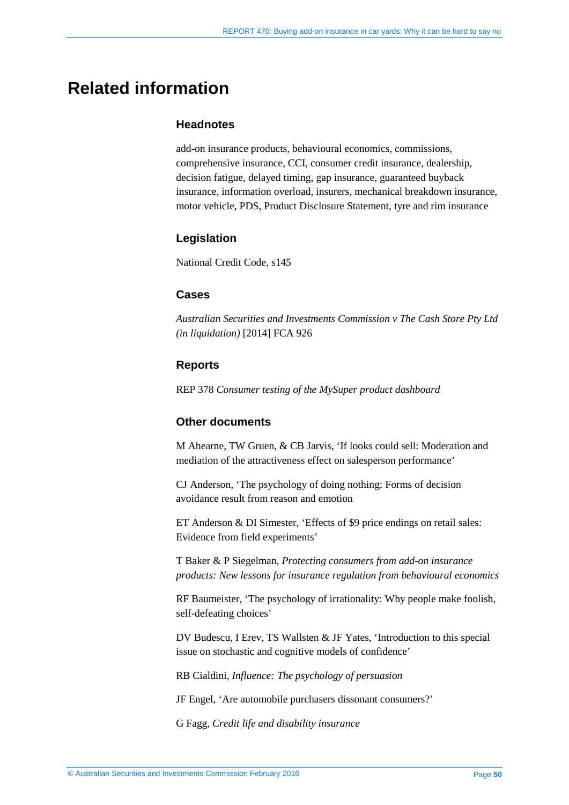# <span id="page-49-0"></span>**Related information**

### **Headnotes**

add-on insurance products, behavioural economics, commissions, comprehensive insurance, CCI, consumer credit insurance, dealership, decision fatigue, delayed timing, gap insurance, guaranteed buyback insurance, information overload, insurers, mechanical breakdown insurance, motor vehicle, PDS, Product Disclosure Statement, tyre and rim insurance

# **Legislation**

National Credit Code, s145

# **Cases**

*Australian Securities and Investments Commission v The Cash Store Pty Ltd (in liquidation)* [2014] FCA 926

# **Reports**

REP 378 *Consumer testing of the MySuper product dashboard*

### **Other documents**

M Ahearne, TW Gruen, & CB Jarvis, 'If looks could sell: Moderation and mediation of the attractiveness effect on salesperson performance'

CJ Anderson, 'The psychology of doing nothing: Forms of decision avoidance result from reason and emotion

ET Anderson & DI Simester, 'Effects of \$9 price endings on retail sales: Evidence from field experiments'

T Baker & P Siegelman, *Protecting consumers from add-on insurance products: New lessons for insurance regulation from behavioural economics* 

RF Baumeister, 'The psychology of irrationality: Why people make foolish, self-defeating choices'

DV Budescu, I Erev, TS Wallsten & JF Yates, 'Introduction to this special issue on stochastic and cognitive models of confidence'

RB Cialdini, *Influence: The psychology of persuasion* 

JF Engel, 'Are automobile purchasers dissonant consumers?'

G Fagg, *Credit life and disability insurance*